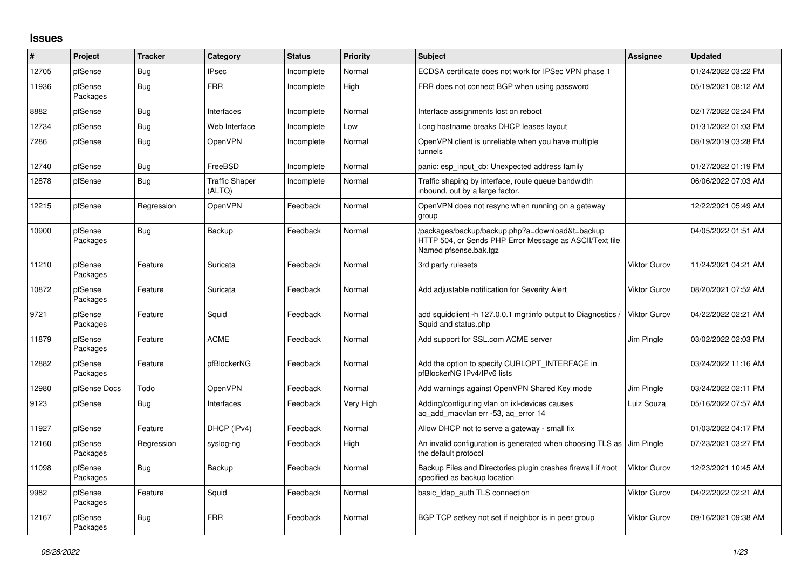## **Issues**

| ∦     | Project             | <b>Tracker</b> | Category                        | <b>Status</b> | <b>Priority</b> | <b>Subject</b>                                                                                                                      | Assignee            | <b>Updated</b>      |
|-------|---------------------|----------------|---------------------------------|---------------|-----------------|-------------------------------------------------------------------------------------------------------------------------------------|---------------------|---------------------|
| 12705 | pfSense             | Bug            | <b>IPsec</b>                    | Incomplete    | Normal          | ECDSA certificate does not work for IPSec VPN phase 1                                                                               |                     | 01/24/2022 03:22 PM |
| 11936 | pfSense<br>Packages | Bug            | <b>FRR</b>                      | Incomplete    | High            | FRR does not connect BGP when using password                                                                                        |                     | 05/19/2021 08:12 AM |
| 8882  | pfSense             | Bug            | Interfaces                      | Incomplete    | Normal          | Interface assignments lost on reboot                                                                                                |                     | 02/17/2022 02:24 PM |
| 12734 | pfSense             | Bug            | Web Interface                   | Incomplete    | Low             | Long hostname breaks DHCP leases layout                                                                                             |                     | 01/31/2022 01:03 PM |
| 7286  | pfSense             | Bug            | OpenVPN                         | Incomplete    | Normal          | OpenVPN client is unreliable when you have multiple<br>tunnels                                                                      |                     | 08/19/2019 03:28 PM |
| 12740 | pfSense             | Bug            | FreeBSD                         | Incomplete    | Normal          | panic: esp input cb: Unexpected address family                                                                                      |                     | 01/27/2022 01:19 PM |
| 12878 | pfSense             | Bug            | <b>Traffic Shaper</b><br>(ALTQ) | Incomplete    | Normal          | Traffic shaping by interface, route queue bandwidth<br>inbound, out by a large factor.                                              |                     | 06/06/2022 07:03 AM |
| 12215 | pfSense             | Regression     | OpenVPN                         | Feedback      | Normal          | OpenVPN does not resync when running on a gateway<br>group                                                                          |                     | 12/22/2021 05:49 AM |
| 10900 | pfSense<br>Packages | Bug            | Backup                          | Feedback      | Normal          | /packages/backup/backup.php?a=download&t=backup<br>HTTP 504, or Sends PHP Error Message as ASCII/Text file<br>Named pfsense.bak.tgz |                     | 04/05/2022 01:51 AM |
| 11210 | pfSense<br>Packages | Feature        | Suricata                        | Feedback      | Normal          | 3rd party rulesets                                                                                                                  | <b>Viktor Gurov</b> | 11/24/2021 04:21 AM |
| 10872 | pfSense<br>Packages | Feature        | Suricata                        | Feedback      | Normal          | Add adjustable notification for Severity Alert                                                                                      | <b>Viktor Gurov</b> | 08/20/2021 07:52 AM |
| 9721  | pfSense<br>Packages | Feature        | Squid                           | Feedback      | Normal          | add squidclient -h 127.0.0.1 mgr:info output to Diagnostics<br>Squid and status.php                                                 | Viktor Gurov        | 04/22/2022 02:21 AM |
| 11879 | pfSense<br>Packages | Feature        | <b>ACME</b>                     | Feedback      | Normal          | Add support for SSL.com ACME server                                                                                                 | Jim Pingle          | 03/02/2022 02:03 PM |
| 12882 | pfSense<br>Packages | Feature        | pfBlockerNG                     | Feedback      | Normal          | Add the option to specify CURLOPT_INTERFACE in<br>pfBlockerNG IPv4/IPv6 lists                                                       |                     | 03/24/2022 11:16 AM |
| 12980 | pfSense Docs        | Todo           | OpenVPN                         | Feedback      | Normal          | Add warnings against OpenVPN Shared Key mode                                                                                        | Jim Pingle          | 03/24/2022 02:11 PM |
| 9123  | pfSense             | <b>Bug</b>     | Interfaces                      | Feedback      | Very High       | Adding/configuring vlan on ixl-devices causes<br>aq_add_macvlan err -53, aq_error 14                                                | Luiz Souza          | 05/16/2022 07:57 AM |
| 11927 | pfSense             | Feature        | DHCP (IPv4)                     | Feedback      | Normal          | Allow DHCP not to serve a gateway - small fix                                                                                       |                     | 01/03/2022 04:17 PM |
| 12160 | pfSense<br>Packages | Regression     | syslog-ng                       | Feedback      | High            | An invalid configuration is generated when choosing TLS as<br>the default protocol                                                  | Jim Pingle          | 07/23/2021 03:27 PM |
| 11098 | pfSense<br>Packages | Bug            | Backup                          | Feedback      | Normal          | Backup Files and Directories plugin crashes firewall if /root<br>specified as backup location                                       | <b>Viktor Gurov</b> | 12/23/2021 10:45 AM |
| 9982  | pfSense<br>Packages | Feature        | Squid                           | Feedback      | Normal          | basic Idap auth TLS connection                                                                                                      | <b>Viktor Gurov</b> | 04/22/2022 02:21 AM |
| 12167 | pfSense<br>Packages | Bug            | <b>FRR</b>                      | Feedback      | Normal          | BGP TCP setkey not set if neighbor is in peer group                                                                                 | <b>Viktor Gurov</b> | 09/16/2021 09:38 AM |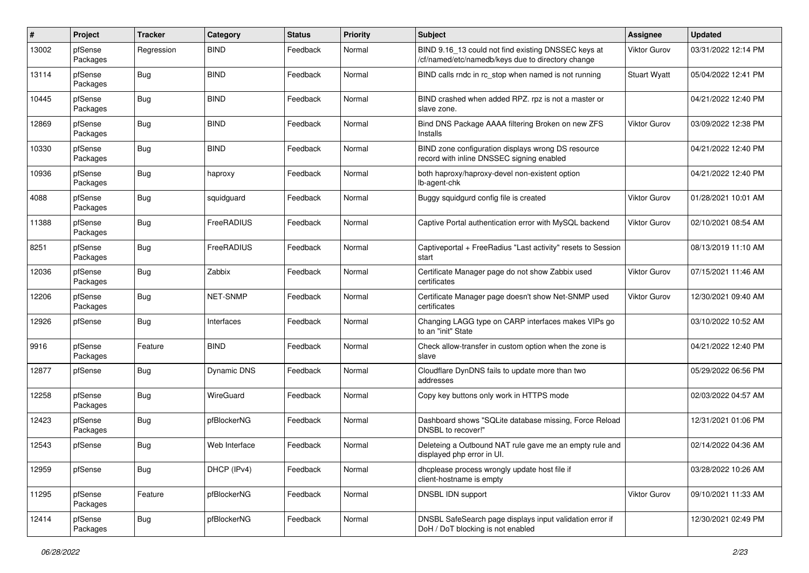| #     | Project             | <b>Tracker</b> | Category           | <b>Status</b> | <b>Priority</b> | <b>Subject</b>                                                                                           | <b>Assignee</b>     | <b>Updated</b>      |
|-------|---------------------|----------------|--------------------|---------------|-----------------|----------------------------------------------------------------------------------------------------------|---------------------|---------------------|
| 13002 | pfSense<br>Packages | Regression     | <b>BIND</b>        | Feedback      | Normal          | BIND 9.16_13 could not find existing DNSSEC keys at<br>/cf/named/etc/namedb/keys due to directory change | Viktor Gurov        | 03/31/2022 12:14 PM |
| 13114 | pfSense<br>Packages | Bug            | <b>BIND</b>        | Feedback      | Normal          | BIND calls rndc in rc_stop when named is not running                                                     | <b>Stuart Wyatt</b> | 05/04/2022 12:41 PM |
| 10445 | pfSense<br>Packages | Bug            | <b>BIND</b>        | Feedback      | Normal          | BIND crashed when added RPZ. rpz is not a master or<br>slave zone.                                       |                     | 04/21/2022 12:40 PM |
| 12869 | pfSense<br>Packages | <b>Bug</b>     | <b>BIND</b>        | Feedback      | Normal          | Bind DNS Package AAAA filtering Broken on new ZFS<br>Installs                                            | Viktor Gurov        | 03/09/2022 12:38 PM |
| 10330 | pfSense<br>Packages | Bug            | <b>BIND</b>        | Feedback      | Normal          | BIND zone configuration displays wrong DS resource<br>record with inline DNSSEC signing enabled          |                     | 04/21/2022 12:40 PM |
| 10936 | pfSense<br>Packages | <b>Bug</b>     | haproxy            | Feedback      | Normal          | both haproxy/haproxy-devel non-existent option<br>lb-agent-chk                                           |                     | 04/21/2022 12:40 PM |
| 4088  | pfSense<br>Packages | <b>Bug</b>     | squidguard         | Feedback      | Normal          | Buggy squidgurd config file is created                                                                   | Viktor Gurov        | 01/28/2021 10:01 AM |
| 11388 | pfSense<br>Packages | Bug            | FreeRADIUS         | Feedback      | Normal          | Captive Portal authentication error with MySQL backend                                                   | Viktor Gurov        | 02/10/2021 08:54 AM |
| 8251  | pfSense<br>Packages | Bug            | FreeRADIUS         | Feedback      | Normal          | Captiveportal + FreeRadius "Last activity" resets to Session<br>start                                    |                     | 08/13/2019 11:10 AM |
| 12036 | pfSense<br>Packages | <b>Bug</b>     | Zabbix             | Feedback      | Normal          | Certificate Manager page do not show Zabbix used<br>certificates                                         | Viktor Gurov        | 07/15/2021 11:46 AM |
| 12206 | pfSense<br>Packages | Bug            | NET-SNMP           | Feedback      | Normal          | Certificate Manager page doesn't show Net-SNMP used<br>certificates                                      | <b>Viktor Gurov</b> | 12/30/2021 09:40 AM |
| 12926 | pfSense             | Bug            | Interfaces         | Feedback      | Normal          | Changing LAGG type on CARP interfaces makes VIPs go<br>to an "init" State                                |                     | 03/10/2022 10:52 AM |
| 9916  | pfSense<br>Packages | Feature        | <b>BIND</b>        | Feedback      | Normal          | Check allow-transfer in custom option when the zone is<br>slave                                          |                     | 04/21/2022 12:40 PM |
| 12877 | pfSense             | Bug            | <b>Dynamic DNS</b> | Feedback      | Normal          | Cloudflare DynDNS fails to update more than two<br>addresses                                             |                     | 05/29/2022 06:56 PM |
| 12258 | pfSense<br>Packages | Bug            | WireGuard          | Feedback      | Normal          | Copy key buttons only work in HTTPS mode                                                                 |                     | 02/03/2022 04:57 AM |
| 12423 | pfSense<br>Packages | Bug            | pfBlockerNG        | Feedback      | Normal          | Dashboard shows "SQLite database missing, Force Reload<br>DNSBL to recover!"                             |                     | 12/31/2021 01:06 PM |
| 12543 | pfSense             | <b>Bug</b>     | Web Interface      | Feedback      | Normal          | Deleteing a Outbound NAT rule gave me an empty rule and<br>displayed php error in UI.                    |                     | 02/14/2022 04:36 AM |
| 12959 | pfSense             | Bug            | DHCP (IPv4)        | Feedback      | Normal          | dhcplease process wrongly update host file if<br>client-hostname is empty                                |                     | 03/28/2022 10:26 AM |
| 11295 | pfSense<br>Packages | Feature        | pfBlockerNG        | Feedback      | Normal          | DNSBL IDN support                                                                                        | <b>Viktor Gurov</b> | 09/10/2021 11:33 AM |
| 12414 | pfSense<br>Packages | <b>Bug</b>     | pfBlockerNG        | Feedback      | Normal          | DNSBL SafeSearch page displays input validation error if<br>DoH / DoT blocking is not enabled            |                     | 12/30/2021 02:49 PM |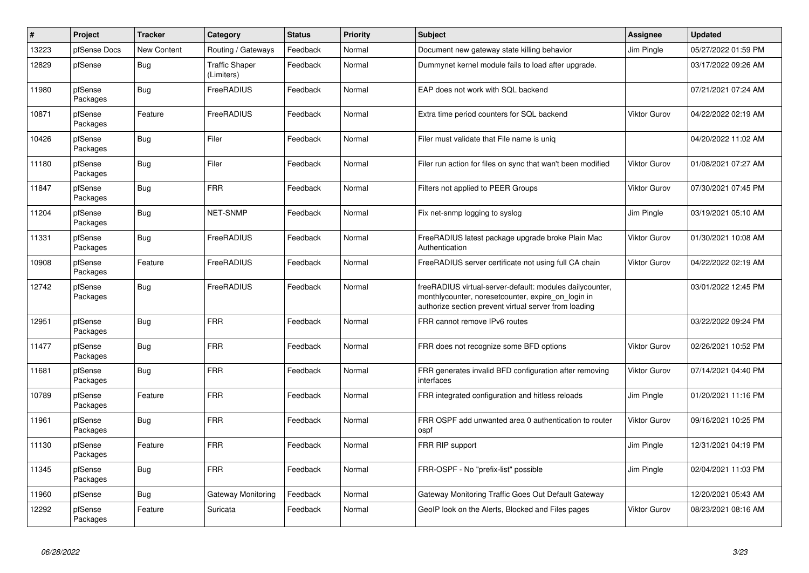| $\vert$ # | Project             | <b>Tracker</b>     | Category                            | <b>Status</b> | <b>Priority</b> | <b>Subject</b>                                                                                                                                                          | Assignee            | <b>Updated</b>      |
|-----------|---------------------|--------------------|-------------------------------------|---------------|-----------------|-------------------------------------------------------------------------------------------------------------------------------------------------------------------------|---------------------|---------------------|
| 13223     | pfSense Docs        | <b>New Content</b> | Routing / Gateways                  | Feedback      | Normal          | Document new gateway state killing behavior                                                                                                                             | Jim Pingle          | 05/27/2022 01:59 PM |
| 12829     | pfSense             | <b>Bug</b>         | <b>Traffic Shaper</b><br>(Limiters) | Feedback      | Normal          | Dummynet kernel module fails to load after upgrade.                                                                                                                     |                     | 03/17/2022 09:26 AM |
| 11980     | pfSense<br>Packages | Bug                | FreeRADIUS                          | Feedback      | Normal          | EAP does not work with SQL backend                                                                                                                                      |                     | 07/21/2021 07:24 AM |
| 10871     | pfSense<br>Packages | Feature            | FreeRADIUS                          | Feedback      | Normal          | Extra time period counters for SQL backend                                                                                                                              | <b>Viktor Gurov</b> | 04/22/2022 02:19 AM |
| 10426     | pfSense<br>Packages | <b>Bug</b>         | Filer                               | Feedback      | Normal          | Filer must validate that File name is unig                                                                                                                              |                     | 04/20/2022 11:02 AM |
| 11180     | pfSense<br>Packages | Bug                | Filer                               | Feedback      | Normal          | Filer run action for files on sync that wan't been modified                                                                                                             | <b>Viktor Gurov</b> | 01/08/2021 07:27 AM |
| 11847     | pfSense<br>Packages | <b>Bug</b>         | <b>FRR</b>                          | Feedback      | Normal          | Filters not applied to PEER Groups                                                                                                                                      | <b>Viktor Gurov</b> | 07/30/2021 07:45 PM |
| 11204     | pfSense<br>Packages | <b>Bug</b>         | <b>NET-SNMP</b>                     | Feedback      | Normal          | Fix net-snmp logging to syslog                                                                                                                                          | Jim Pingle          | 03/19/2021 05:10 AM |
| 11331     | pfSense<br>Packages | Bug                | FreeRADIUS                          | Feedback      | Normal          | FreeRADIUS latest package upgrade broke Plain Mac<br>Authentication                                                                                                     | <b>Viktor Gurov</b> | 01/30/2021 10:08 AM |
| 10908     | pfSense<br>Packages | Feature            | FreeRADIUS                          | Feedback      | Normal          | FreeRADIUS server certificate not using full CA chain                                                                                                                   | <b>Viktor Gurov</b> | 04/22/2022 02:19 AM |
| 12742     | pfSense<br>Packages | Bug                | FreeRADIUS                          | Feedback      | Normal          | freeRADIUS virtual-server-default: modules dailycounter,<br>monthlycounter, noresetcounter, expire on login in<br>authorize section prevent virtual server from loading |                     | 03/01/2022 12:45 PM |
| 12951     | pfSense<br>Packages | Bug                | <b>FRR</b>                          | Feedback      | Normal          | FRR cannot remove IPv6 routes                                                                                                                                           |                     | 03/22/2022 09:24 PM |
| 11477     | pfSense<br>Packages | <b>Bug</b>         | <b>FRR</b>                          | Feedback      | Normal          | FRR does not recognize some BFD options                                                                                                                                 | <b>Viktor Gurov</b> | 02/26/2021 10:52 PM |
| 11681     | pfSense<br>Packages | <b>Bug</b>         | <b>FRR</b>                          | Feedback      | Normal          | FRR generates invalid BFD configuration after removing<br>interfaces                                                                                                    | <b>Viktor Gurov</b> | 07/14/2021 04:40 PM |
| 10789     | pfSense<br>Packages | Feature            | <b>FRR</b>                          | Feedback      | Normal          | FRR integrated configuration and hitless reloads                                                                                                                        | Jim Pingle          | 01/20/2021 11:16 PM |
| 11961     | pfSense<br>Packages | Bug                | <b>FRR</b>                          | Feedback      | Normal          | FRR OSPF add unwanted area 0 authentication to router<br>ospf                                                                                                           | <b>Viktor Gurov</b> | 09/16/2021 10:25 PM |
| 11130     | pfSense<br>Packages | Feature            | <b>FRR</b>                          | Feedback      | Normal          | FRR RIP support                                                                                                                                                         | Jim Pingle          | 12/31/2021 04:19 PM |
| 11345     | pfSense<br>Packages | Bug                | <b>FRR</b>                          | Feedback      | Normal          | FRR-OSPF - No "prefix-list" possible                                                                                                                                    | Jim Pingle          | 02/04/2021 11:03 PM |
| 11960     | pfSense             | Bug                | Gateway Monitoring                  | Feedback      | Normal          | Gateway Monitoring Traffic Goes Out Default Gateway                                                                                                                     |                     | 12/20/2021 05:43 AM |
| 12292     | pfSense<br>Packages | Feature            | Suricata                            | Feedback      | Normal          | GeoIP look on the Alerts, Blocked and Files pages                                                                                                                       | <b>Viktor Gurov</b> | 08/23/2021 08:16 AM |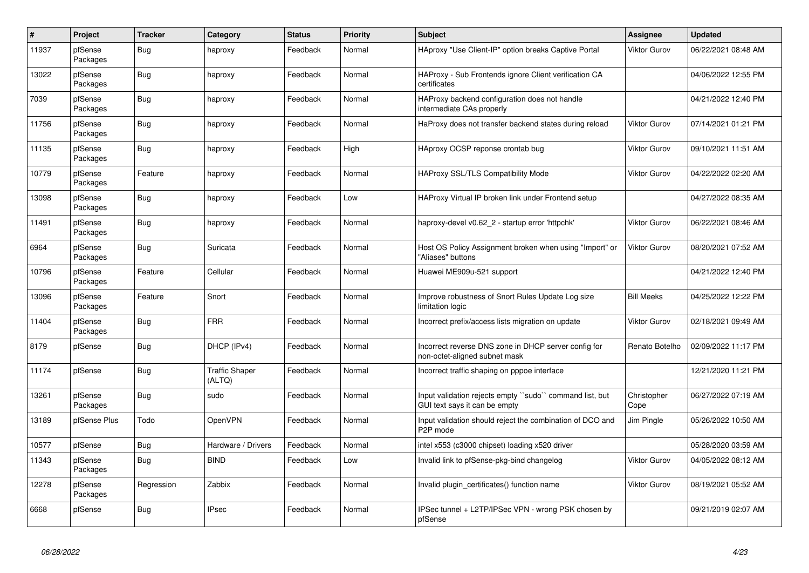| $\vert$ # | <b>Project</b>      | <b>Tracker</b> | Category                        | <b>Status</b> | <b>Priority</b> | <b>Subject</b>                                                                           | Assignee            | <b>Updated</b>      |
|-----------|---------------------|----------------|---------------------------------|---------------|-----------------|------------------------------------------------------------------------------------------|---------------------|---------------------|
| 11937     | pfSense<br>Packages | Bug            | haproxy                         | Feedback      | Normal          | HAproxy "Use Client-IP" option breaks Captive Portal                                     | <b>Viktor Gurov</b> | 06/22/2021 08:48 AM |
| 13022     | pfSense<br>Packages | Bug            | haproxy                         | Feedback      | Normal          | HAProxy - Sub Frontends ignore Client verification CA<br>certificates                    |                     | 04/06/2022 12:55 PM |
| 7039      | pfSense<br>Packages | <b>Bug</b>     | haproxy                         | Feedback      | Normal          | HAProxy backend configuration does not handle<br>intermediate CAs properly               |                     | 04/21/2022 12:40 PM |
| 11756     | pfSense<br>Packages | <b>Bug</b>     | haproxy                         | Feedback      | Normal          | HaProxy does not transfer backend states during reload                                   | <b>Viktor Gurov</b> | 07/14/2021 01:21 PM |
| 11135     | pfSense<br>Packages | Bug            | haproxy                         | Feedback      | High            | HAproxy OCSP reponse crontab bug                                                         | <b>Viktor Gurov</b> | 09/10/2021 11:51 AM |
| 10779     | pfSense<br>Packages | Feature        | haproxy                         | Feedback      | Normal          | <b>HAProxy SSL/TLS Compatibility Mode</b>                                                | <b>Viktor Gurov</b> | 04/22/2022 02:20 AM |
| 13098     | pfSense<br>Packages | Bug            | haproxy                         | Feedback      | Low             | HAProxy Virtual IP broken link under Frontend setup                                      |                     | 04/27/2022 08:35 AM |
| 11491     | pfSense<br>Packages | <b>Bug</b>     | haproxy                         | Feedback      | Normal          | haproxy-devel v0.62 2 - startup error 'httpchk'                                          | <b>Viktor Gurov</b> | 06/22/2021 08:46 AM |
| 6964      | pfSense<br>Packages | Bug            | Suricata                        | Feedback      | Normal          | Host OS Policy Assignment broken when using "Import" or<br>"Aliases" buttons             | <b>Viktor Gurov</b> | 08/20/2021 07:52 AM |
| 10796     | pfSense<br>Packages | Feature        | Cellular                        | Feedback      | Normal          | Huawei ME909u-521 support                                                                |                     | 04/21/2022 12:40 PM |
| 13096     | pfSense<br>Packages | Feature        | Snort                           | Feedback      | Normal          | Improve robustness of Snort Rules Update Log size<br>limitation logic                    | <b>Bill Meeks</b>   | 04/25/2022 12:22 PM |
| 11404     | pfSense<br>Packages | Bug            | <b>FRR</b>                      | Feedback      | Normal          | Incorrect prefix/access lists migration on update                                        | <b>Viktor Gurov</b> | 02/18/2021 09:49 AM |
| 8179      | pfSense             | <b>Bug</b>     | DHCP (IPv4)                     | Feedback      | Normal          | Incorrect reverse DNS zone in DHCP server config for<br>non-octet-aligned subnet mask    | Renato Botelho      | 02/09/2022 11:17 PM |
| 11174     | pfSense             | Bug            | <b>Traffic Shaper</b><br>(ALTQ) | Feedback      | Normal          | Incorrect traffic shaping on pppoe interface                                             |                     | 12/21/2020 11:21 PM |
| 13261     | pfSense<br>Packages | Bug            | sudo                            | Feedback      | Normal          | Input validation rejects empty "sudo" command list, but<br>GUI text says it can be empty | Christopher<br>Cope | 06/27/2022 07:19 AM |
| 13189     | pfSense Plus        | Todo           | <b>OpenVPN</b>                  | Feedback      | Normal          | Input validation should reject the combination of DCO and<br>P <sub>2</sub> P mode       | Jim Pingle          | 05/26/2022 10:50 AM |
| 10577     | pfSense             | <b>Bug</b>     | Hardware / Drivers              | Feedback      | Normal          | intel x553 (c3000 chipset) loading x520 driver                                           |                     | 05/28/2020 03:59 AM |
| 11343     | pfSense<br>Packages | Bug            | <b>BIND</b>                     | Feedback      | Low             | Invalid link to pfSense-pkg-bind changelog                                               | <b>Viktor Gurov</b> | 04/05/2022 08:12 AM |
| 12278     | pfSense<br>Packages | Regression     | Zabbix                          | Feedback      | Normal          | Invalid plugin certificates() function name                                              | <b>Viktor Gurov</b> | 08/19/2021 05:52 AM |
| 6668      | pfSense             | <b>Bug</b>     | <b>IPsec</b>                    | Feedback      | Normal          | IPSec tunnel + L2TP/IPSec VPN - wrong PSK chosen by<br>pfSense                           |                     | 09/21/2019 02:07 AM |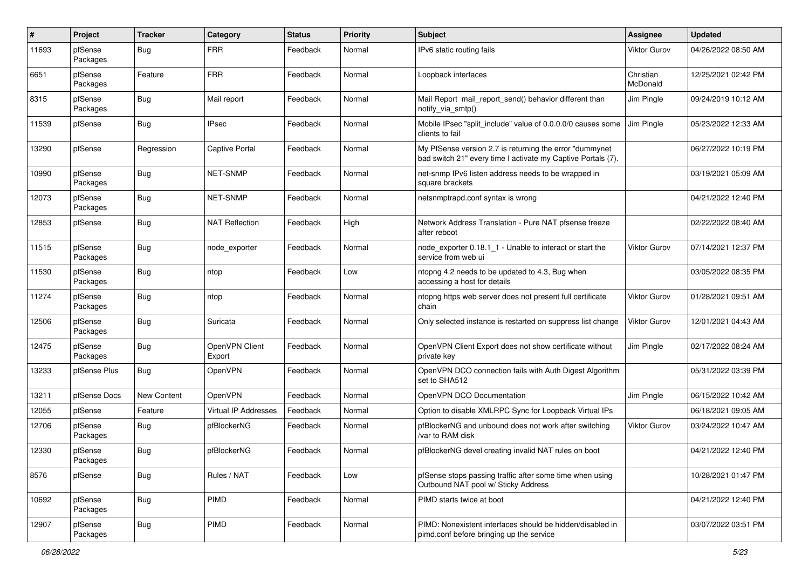| #     | Project             | <b>Tracker</b> | Category                 | <b>Status</b> | <b>Priority</b> | <b>Subject</b>                                                                                                          | Assignee              | <b>Updated</b>      |
|-------|---------------------|----------------|--------------------------|---------------|-----------------|-------------------------------------------------------------------------------------------------------------------------|-----------------------|---------------------|
| 11693 | pfSense<br>Packages | Bug            | <b>FRR</b>               | Feedback      | Normal          | IPv6 static routing fails                                                                                               | <b>Viktor Gurov</b>   | 04/26/2022 08:50 AM |
| 6651  | pfSense<br>Packages | Feature        | <b>FRR</b>               | Feedback      | Normal          | Loopback interfaces                                                                                                     | Christian<br>McDonald | 12/25/2021 02:42 PM |
| 8315  | pfSense<br>Packages | Bug            | Mail report              | Feedback      | Normal          | Mail Report mail_report_send() behavior different than<br>notify_via_smtp()                                             | Jim Pingle            | 09/24/2019 10:12 AM |
| 11539 | pfSense             | Bug            | <b>IPsec</b>             | Feedback      | Normal          | Mobile IPsec "split include" value of 0.0.0.0/0 causes some<br>clients to fail                                          | Jim Pingle            | 05/23/2022 12:33 AM |
| 13290 | pfSense             | Regression     | <b>Captive Portal</b>    | Feedback      | Normal          | My PfSense version 2.7 is returning the error "dummynet<br>bad switch 21" every time I activate my Captive Portals (7). |                       | 06/27/2022 10:19 PM |
| 10990 | pfSense<br>Packages | Bug            | NET-SNMP                 | Feedback      | Normal          | net-snmp IPv6 listen address needs to be wrapped in<br>square brackets                                                  |                       | 03/19/2021 05:09 AM |
| 12073 | pfSense<br>Packages | Bug            | NET-SNMP                 | Feedback      | Normal          | netsnmptrapd.conf syntax is wrong                                                                                       |                       | 04/21/2022 12:40 PM |
| 12853 | pfSense             | Bug            | <b>NAT Reflection</b>    | Feedback      | High            | Network Address Translation - Pure NAT pfsense freeze<br>after reboot                                                   |                       | 02/22/2022 08:40 AM |
| 11515 | pfSense<br>Packages | Bug            | node_exporter            | Feedback      | Normal          | node exporter 0.18.1 1 - Unable to interact or start the<br>service from web ui                                         | Viktor Gurov          | 07/14/2021 12:37 PM |
| 11530 | pfSense<br>Packages | Bug            | ntop                     | Feedback      | Low             | ntopng 4.2 needs to be updated to 4.3, Bug when<br>accessing a host for details                                         |                       | 03/05/2022 08:35 PM |
| 11274 | pfSense<br>Packages | <b>Bug</b>     | ntop                     | Feedback      | Normal          | ntopng https web server does not present full certificate<br>chain                                                      | <b>Viktor Gurov</b>   | 01/28/2021 09:51 AM |
| 12506 | pfSense<br>Packages | Bug            | Suricata                 | Feedback      | Normal          | Only selected instance is restarted on suppress list change                                                             | <b>Viktor Gurov</b>   | 12/01/2021 04:43 AM |
| 12475 | pfSense<br>Packages | Bug            | OpenVPN Client<br>Export | Feedback      | Normal          | OpenVPN Client Export does not show certificate without<br>private key                                                  | Jim Pingle            | 02/17/2022 08:24 AM |
| 13233 | pfSense Plus        | Bug            | OpenVPN                  | Feedback      | Normal          | OpenVPN DCO connection fails with Auth Digest Algorithm<br>set to SHA512                                                |                       | 05/31/2022 03:39 PM |
| 13211 | pfSense Docs        | New Content    | OpenVPN                  | Feedback      | Normal          | OpenVPN DCO Documentation                                                                                               | Jim Pingle            | 06/15/2022 10:42 AM |
| 12055 | pfSense             | Feature        | Virtual IP Addresses     | Feedback      | Normal          | Option to disable XMLRPC Sync for Loopback Virtual IPs                                                                  |                       | 06/18/2021 09:05 AM |
| 12706 | pfSense<br>Packages | Bug            | pfBlockerNG              | Feedback      | Normal          | pfBlockerNG and unbound does not work after switching<br>/var to RAM disk                                               | <b>Viktor Gurov</b>   | 03/24/2022 10:47 AM |
| 12330 | pfSense<br>Packages | <b>Bug</b>     | pfBlockerNG              | Feedback      | Normal          | pfBlockerNG devel creating invalid NAT rules on boot                                                                    |                       | 04/21/2022 12:40 PM |
| 8576  | pfSense             | <b>Bug</b>     | Rules / NAT              | Feedback      | Low             | pfSense stops passing traffic after some time when using<br>Outbound NAT pool w/ Sticky Address                         |                       | 10/28/2021 01:47 PM |
| 10692 | pfSense<br>Packages | <b>Bug</b>     | PIMD                     | Feedback      | Normal          | PIMD starts twice at boot                                                                                               |                       | 04/21/2022 12:40 PM |
| 12907 | pfSense<br>Packages | <b>Bug</b>     | PIMD                     | Feedback      | Normal          | PIMD: Nonexistent interfaces should be hidden/disabled in<br>pimd.conf before bringing up the service                   |                       | 03/07/2022 03:51 PM |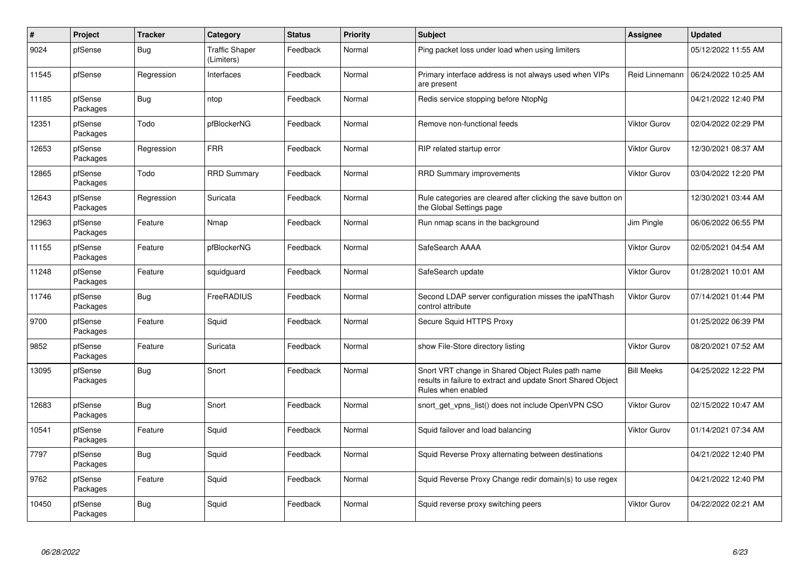| $\#$  | <b>Project</b>      | <b>Tracker</b> | Category                            | <b>Status</b> | <b>Priority</b> | <b>Subject</b>                                                                                                                          | Assignee            | <b>Updated</b>      |
|-------|---------------------|----------------|-------------------------------------|---------------|-----------------|-----------------------------------------------------------------------------------------------------------------------------------------|---------------------|---------------------|
| 9024  | pfSense             | Bug            | <b>Traffic Shaper</b><br>(Limiters) | Feedback      | Normal          | Ping packet loss under load when using limiters                                                                                         |                     | 05/12/2022 11:55 AM |
| 11545 | pfSense             | Regression     | Interfaces                          | Feedback      | Normal          | Primary interface address is not always used when VIPs<br>are present                                                                   | Reid Linnemann      | 06/24/2022 10:25 AM |
| 11185 | pfSense<br>Packages | <b>Bug</b>     | ntop                                | Feedback      | Normal          | Redis service stopping before NtopNg                                                                                                    |                     | 04/21/2022 12:40 PM |
| 12351 | pfSense<br>Packages | Todo           | pfBlockerNG                         | Feedback      | Normal          | Remove non-functional feeds                                                                                                             | <b>Viktor Gurov</b> | 02/04/2022 02:29 PM |
| 12653 | pfSense<br>Packages | Regression     | <b>FRR</b>                          | Feedback      | Normal          | RIP related startup error                                                                                                               | <b>Viktor Gurov</b> | 12/30/2021 08:37 AM |
| 12865 | pfSense<br>Packages | Todo           | <b>RRD Summary</b>                  | Feedback      | Normal          | <b>RRD Summary improvements</b>                                                                                                         | <b>Viktor Gurov</b> | 03/04/2022 12:20 PM |
| 12643 | pfSense<br>Packages | Regression     | Suricata                            | Feedback      | Normal          | Rule categories are cleared after clicking the save button on<br>the Global Settings page                                               |                     | 12/30/2021 03:44 AM |
| 12963 | pfSense<br>Packages | Feature        | Nmap                                | Feedback      | Normal          | Run nmap scans in the background                                                                                                        | Jim Pingle          | 06/06/2022 06:55 PM |
| 11155 | pfSense<br>Packages | Feature        | pfBlockerNG                         | Feedback      | Normal          | SafeSearch AAAA                                                                                                                         | <b>Viktor Gurov</b> | 02/05/2021 04:54 AM |
| 11248 | pfSense<br>Packages | Feature        | squidguard                          | Feedback      | Normal          | SafeSearch update                                                                                                                       | <b>Viktor Gurov</b> | 01/28/2021 10:01 AM |
| 11746 | pfSense<br>Packages | Bug            | FreeRADIUS                          | Feedback      | Normal          | Second LDAP server configuration misses the ipaNThash<br>control attribute                                                              | <b>Viktor Gurov</b> | 07/14/2021 01:44 PM |
| 9700  | pfSense<br>Packages | Feature        | Squid                               | Feedback      | Normal          | Secure Squid HTTPS Proxy                                                                                                                |                     | 01/25/2022 06:39 PM |
| 9852  | pfSense<br>Packages | Feature        | Suricata                            | Feedback      | Normal          | show File-Store directory listing                                                                                                       | <b>Viktor Gurov</b> | 08/20/2021 07:52 AM |
| 13095 | pfSense<br>Packages | <b>Bug</b>     | Snort                               | Feedback      | Normal          | Snort VRT change in Shared Object Rules path name<br>results in failure to extract and update Snort Shared Object<br>Rules when enabled | <b>Bill Meeks</b>   | 04/25/2022 12:22 PM |
| 12683 | pfSense<br>Packages | <b>Bug</b>     | Snort                               | Feedback      | Normal          | snort_get_vpns_list() does not include OpenVPN CSO                                                                                      | <b>Viktor Gurov</b> | 02/15/2022 10:47 AM |
| 10541 | pfSense<br>Packages | Feature        | Squid                               | Feedback      | Normal          | Squid failover and load balancing                                                                                                       | <b>Viktor Gurov</b> | 01/14/2021 07:34 AM |
| 7797  | pfSense<br>Packages | Bug            | Squid                               | Feedback      | Normal          | Squid Reverse Proxy alternating between destinations                                                                                    |                     | 04/21/2022 12:40 PM |
| 9762  | pfSense<br>Packages | Feature        | Squid                               | Feedback      | Normal          | Squid Reverse Proxy Change redir domain(s) to use regex                                                                                 |                     | 04/21/2022 12:40 PM |
| 10450 | pfSense<br>Packages | <b>Bug</b>     | Squid                               | Feedback      | Normal          | Squid reverse proxy switching peers                                                                                                     | <b>Viktor Gurov</b> | 04/22/2022 02:21 AM |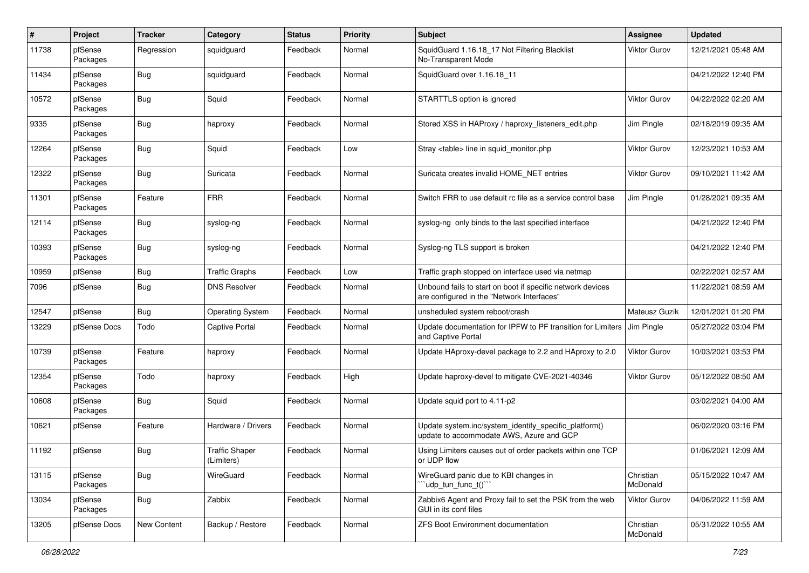| #     | Project             | <b>Tracker</b> | Category                            | <b>Status</b> | <b>Priority</b> | <b>Subject</b>                                                                                           | Assignee              | <b>Updated</b>      |
|-------|---------------------|----------------|-------------------------------------|---------------|-----------------|----------------------------------------------------------------------------------------------------------|-----------------------|---------------------|
| 11738 | pfSense<br>Packages | Regression     | squidguard                          | Feedback      | Normal          | SquidGuard 1.16.18_17 Not Filtering Blacklist<br>No-Transparent Mode                                     | <b>Viktor Gurov</b>   | 12/21/2021 05:48 AM |
| 11434 | pfSense<br>Packages | <b>Bug</b>     | squidguard                          | Feedback      | Normal          | SquidGuard over 1.16.18 11                                                                               |                       | 04/21/2022 12:40 PM |
| 10572 | pfSense<br>Packages | <b>Bug</b>     | Squid                               | Feedback      | Normal          | STARTTLS option is ignored                                                                               | <b>Viktor Gurov</b>   | 04/22/2022 02:20 AM |
| 9335  | pfSense<br>Packages | Bug            | haproxy                             | Feedback      | Normal          | Stored XSS in HAProxy / haproxy listeners edit.php                                                       | Jim Pingle            | 02/18/2019 09:35 AM |
| 12264 | pfSense<br>Packages | <b>Bug</b>     | Squid                               | Feedback      | Low             | Stray <table> line in squid monitor.php</table>                                                          | <b>Viktor Gurov</b>   | 12/23/2021 10:53 AM |
| 12322 | pfSense<br>Packages | <b>Bug</b>     | Suricata                            | Feedback      | Normal          | Suricata creates invalid HOME NET entries                                                                | <b>Viktor Gurov</b>   | 09/10/2021 11:42 AM |
| 11301 | pfSense<br>Packages | Feature        | <b>FRR</b>                          | Feedback      | Normal          | Switch FRR to use default rc file as a service control base                                              | Jim Pingle            | 01/28/2021 09:35 AM |
| 12114 | pfSense<br>Packages | <b>Bug</b>     | syslog-ng                           | Feedback      | Normal          | syslog-ng only binds to the last specified interface                                                     |                       | 04/21/2022 12:40 PM |
| 10393 | pfSense<br>Packages | Bug            | syslog-ng                           | Feedback      | Normal          | Syslog-ng TLS support is broken                                                                          |                       | 04/21/2022 12:40 PM |
| 10959 | pfSense             | <b>Bug</b>     | <b>Traffic Graphs</b>               | Feedback      | Low             | Traffic graph stopped on interface used via netmap                                                       |                       | 02/22/2021 02:57 AM |
| 7096  | pfSense             | Bug            | <b>DNS Resolver</b>                 | Feedback      | Normal          | Unbound fails to start on boot if specific network devices<br>are configured in the "Network Interfaces" |                       | 11/22/2021 08:59 AM |
| 12547 | pfSense             | <b>Bug</b>     | <b>Operating System</b>             | Feedback      | Normal          | unsheduled system reboot/crash                                                                           | Mateusz Guzik         | 12/01/2021 01:20 PM |
| 13229 | pfSense Docs        | Todo           | <b>Captive Portal</b>               | Feedback      | Normal          | Update documentation for IPFW to PF transition for Limiters<br>and Captive Portal                        | Jim Pingle            | 05/27/2022 03:04 PM |
| 10739 | pfSense<br>Packages | Feature        | haproxy                             | Feedback      | Normal          | Update HAproxy-devel package to 2.2 and HAproxy to 2.0                                                   | <b>Viktor Gurov</b>   | 10/03/2021 03:53 PM |
| 12354 | pfSense<br>Packages | Todo           | haproxy                             | Feedback      | High            | Update haproxy-devel to mitigate CVE-2021-40346                                                          | <b>Viktor Gurov</b>   | 05/12/2022 08:50 AM |
| 10608 | pfSense<br>Packages | Bug            | Squid                               | Feedback      | Normal          | Update squid port to 4.11-p2                                                                             |                       | 03/02/2021 04:00 AM |
| 10621 | pfSense             | Feature        | Hardware / Drivers                  | Feedback      | Normal          | Update system.inc/system_identify_specific_platform()<br>update to accommodate AWS, Azure and GCP        |                       | 06/02/2020 03:16 PM |
| 11192 | pfSense             | Bug            | <b>Traffic Shaper</b><br>(Limiters) | Feedback      | Normal          | Using Limiters causes out of order packets within one TCP<br>or UDP flow                                 |                       | 01/06/2021 12:09 AM |
| 13115 | pfSense<br>Packages | Bug            | WireGuard                           | Feedback      | Normal          | WireGuard panic due to KBI changes in<br>"udp_tun_func_t()"                                              | Christian<br>McDonald | 05/15/2022 10:47 AM |
| 13034 | pfSense<br>Packages | Bug            | Zabbix                              | Feedback      | Normal          | Zabbix6 Agent and Proxy fail to set the PSK from the web<br>GUI in its conf files                        | Viktor Gurov          | 04/06/2022 11:59 AM |
| 13205 | pfSense Docs        | New Content    | Backup / Restore                    | Feedback      | Normal          | ZFS Boot Environment documentation                                                                       | Christian<br>McDonald | 05/31/2022 10:55 AM |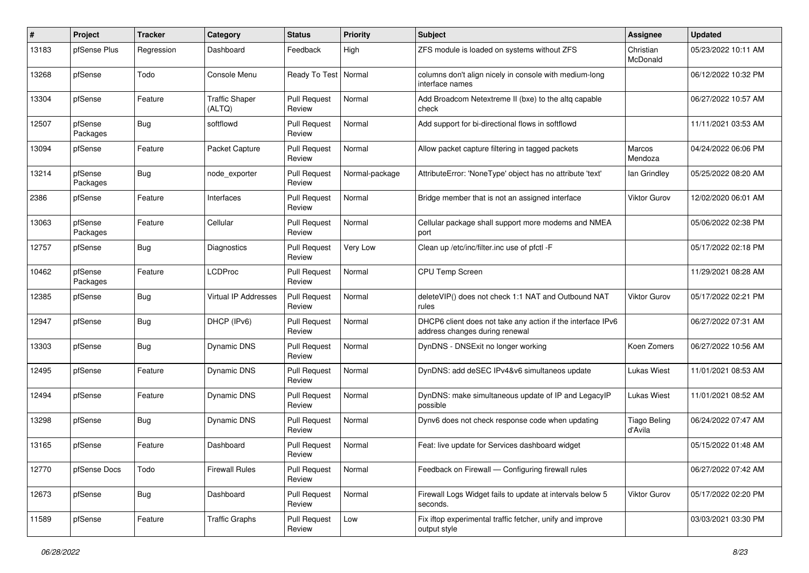| #     | Project             | <b>Tracker</b> | Category                        | <b>Status</b>                 | <b>Priority</b> | Subject                                                                                       | <b>Assignee</b>                | <b>Updated</b>      |
|-------|---------------------|----------------|---------------------------------|-------------------------------|-----------------|-----------------------------------------------------------------------------------------------|--------------------------------|---------------------|
| 13183 | pfSense Plus        | Regression     | Dashboard                       | Feedback                      | High            | ZFS module is loaded on systems without ZFS                                                   | Christian<br>McDonald          | 05/23/2022 10:11 AM |
| 13268 | pfSense             | Todo           | Console Menu                    | Ready To Test                 | Normal          | columns don't align nicely in console with medium-long<br>interface names                     |                                | 06/12/2022 10:32 PM |
| 13304 | pfSense             | Feature        | <b>Traffic Shaper</b><br>(ALTQ) | <b>Pull Request</b><br>Review | Normal          | Add Broadcom Netextreme II (bxe) to the altq capable<br>check                                 |                                | 06/27/2022 10:57 AM |
| 12507 | pfSense<br>Packages | Bug            | softflowd                       | <b>Pull Request</b><br>Review | Normal          | Add support for bi-directional flows in softflowd                                             |                                | 11/11/2021 03:53 AM |
| 13094 | pfSense             | Feature        | Packet Capture                  | <b>Pull Request</b><br>Review | Normal          | Allow packet capture filtering in tagged packets                                              | Marcos<br>Mendoza              | 04/24/2022 06:06 PM |
| 13214 | pfSense<br>Packages | Bug            | node exporter                   | <b>Pull Request</b><br>Review | Normal-package  | AttributeError: 'NoneType' object has no attribute 'text'                                     | lan Grindley                   | 05/25/2022 08:20 AM |
| 2386  | pfSense             | Feature        | Interfaces                      | <b>Pull Request</b><br>Review | Normal          | Bridge member that is not an assigned interface                                               | Viktor Gurov                   | 12/02/2020 06:01 AM |
| 13063 | pfSense<br>Packages | Feature        | Cellular                        | <b>Pull Request</b><br>Review | Normal          | Cellular package shall support more modems and NMEA<br>port                                   |                                | 05/06/2022 02:38 PM |
| 12757 | pfSense             | Bug            | Diagnostics                     | <b>Pull Request</b><br>Review | Very Low        | Clean up /etc/inc/filter.inc use of pfctl -F                                                  |                                | 05/17/2022 02:18 PM |
| 10462 | pfSense<br>Packages | Feature        | <b>LCDProc</b>                  | <b>Pull Request</b><br>Review | Normal          | CPU Temp Screen                                                                               |                                | 11/29/2021 08:28 AM |
| 12385 | pfSense             | Bug            | <b>Virtual IP Addresses</b>     | <b>Pull Request</b><br>Review | Normal          | deleteVIP() does not check 1:1 NAT and Outbound NAT<br>rules                                  | Viktor Gurov                   | 05/17/2022 02:21 PM |
| 12947 | pfSense             | Bug            | DHCP (IPv6)                     | <b>Pull Request</b><br>Review | Normal          | DHCP6 client does not take any action if the interface IPv6<br>address changes during renewal |                                | 06/27/2022 07:31 AM |
| 13303 | pfSense             | Bug            | Dynamic DNS                     | <b>Pull Request</b><br>Review | Normal          | DynDNS - DNSExit no longer working                                                            | Koen Zomers                    | 06/27/2022 10:56 AM |
| 12495 | pfSense             | Feature        | <b>Dynamic DNS</b>              | <b>Pull Request</b><br>Review | Normal          | DynDNS: add deSEC IPv4&v6 simultaneos update                                                  | <b>Lukas Wiest</b>             | 11/01/2021 08:53 AM |
| 12494 | pfSense             | Feature        | Dynamic DNS                     | <b>Pull Request</b><br>Review | Normal          | DynDNS: make simultaneous update of IP and LegacyIP<br>possible                               | <b>Lukas Wiest</b>             | 11/01/2021 08:52 AM |
| 13298 | pfSense             | Bug            | Dynamic DNS                     | <b>Pull Request</b><br>Review | Normal          | Dynv6 does not check response code when updating                                              | <b>Tiago Beling</b><br>d'Avila | 06/24/2022 07:47 AM |
| 13165 | pfSense             | Feature        | Dashboard                       | <b>Pull Request</b><br>Review | Normal          | Feat: live update for Services dashboard widget                                               |                                | 05/15/2022 01:48 AM |
| 12770 | pfSense Docs        | Todo           | <b>Firewall Rules</b>           | <b>Pull Request</b><br>Review | Normal          | Feedback on Firewall - Configuring firewall rules                                             |                                | 06/27/2022 07:42 AM |
| 12673 | pfSense             | Bug            | Dashboard                       | <b>Pull Request</b><br>Review | Normal          | Firewall Logs Widget fails to update at intervals below 5<br>seconds.                         | Viktor Gurov                   | 05/17/2022 02:20 PM |
| 11589 | pfSense             | Feature        | <b>Traffic Graphs</b>           | <b>Pull Request</b><br>Review | Low             | Fix iftop experimental traffic fetcher, unify and improve<br>output style                     |                                | 03/03/2021 03:30 PM |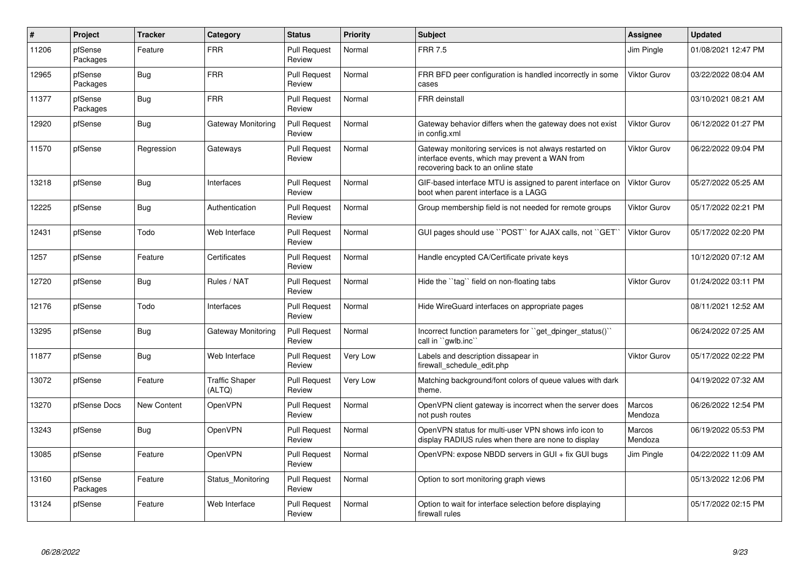| #     | Project             | <b>Tracker</b> | Category                        | <b>Status</b>                 | <b>Priority</b> | <b>Subject</b>                                                                                                                                 | Assignee            | <b>Updated</b>      |
|-------|---------------------|----------------|---------------------------------|-------------------------------|-----------------|------------------------------------------------------------------------------------------------------------------------------------------------|---------------------|---------------------|
| 11206 | pfSense<br>Packages | Feature        | <b>FRR</b>                      | <b>Pull Request</b><br>Review | Normal          | <b>FRR 7.5</b>                                                                                                                                 | Jim Pingle          | 01/08/2021 12:47 PM |
| 12965 | pfSense<br>Packages | Bug            | <b>FRR</b>                      | <b>Pull Request</b><br>Review | Normal          | FRR BFD peer configuration is handled incorrectly in some<br>cases                                                                             | <b>Viktor Gurov</b> | 03/22/2022 08:04 AM |
| 11377 | pfSense<br>Packages | <b>Bug</b>     | <b>FRR</b>                      | <b>Pull Request</b><br>Review | Normal          | <b>FRR</b> deinstall                                                                                                                           |                     | 03/10/2021 08:21 AM |
| 12920 | pfSense             | Bug            | Gateway Monitoring              | <b>Pull Request</b><br>Review | Normal          | Gateway behavior differs when the gateway does not exist<br>in config.xml                                                                      | <b>Viktor Gurov</b> | 06/12/2022 01:27 PM |
| 11570 | pfSense             | Regression     | Gateways                        | <b>Pull Request</b><br>Review | Normal          | Gateway monitoring services is not always restarted on<br>interface events, which may prevent a WAN from<br>recovering back to an online state | <b>Viktor Gurov</b> | 06/22/2022 09:04 PM |
| 13218 | pfSense             | Bug            | Interfaces                      | <b>Pull Request</b><br>Review | Normal          | GIF-based interface MTU is assigned to parent interface on<br>boot when parent interface is a LAGG                                             | <b>Viktor Gurov</b> | 05/27/2022 05:25 AM |
| 12225 | pfSense             | Bug            | Authentication                  | <b>Pull Request</b><br>Review | Normal          | Group membership field is not needed for remote groups                                                                                         | <b>Viktor Gurov</b> | 05/17/2022 02:21 PM |
| 12431 | pfSense             | Todo           | Web Interface                   | <b>Pull Request</b><br>Review | Normal          | GUI pages should use "POST" for AJAX calls, not "GET                                                                                           | <b>Viktor Gurov</b> | 05/17/2022 02:20 PM |
| 1257  | pfSense             | Feature        | Certificates                    | <b>Pull Request</b><br>Review | Normal          | Handle encypted CA/Certificate private keys                                                                                                    |                     | 10/12/2020 07:12 AM |
| 12720 | pfSense             | Bug            | Rules / NAT                     | <b>Pull Request</b><br>Review | Normal          | Hide the "tag" field on non-floating tabs                                                                                                      | <b>Viktor Gurov</b> | 01/24/2022 03:11 PM |
| 12176 | pfSense             | Todo           | Interfaces                      | <b>Pull Request</b><br>Review | Normal          | Hide WireGuard interfaces on appropriate pages                                                                                                 |                     | 08/11/2021 12:52 AM |
| 13295 | pfSense             | <b>Bug</b>     | Gateway Monitoring              | <b>Pull Request</b><br>Review | Normal          | Incorrect function parameters for ``get_dpinger_status()``<br>call in "gwlb.inc"                                                               |                     | 06/24/2022 07:25 AM |
| 11877 | pfSense             | Bug            | Web Interface                   | <b>Pull Request</b><br>Review | Very Low        | Labels and description dissapear in<br>firewall schedule edit.php                                                                              | <b>Viktor Gurov</b> | 05/17/2022 02:22 PM |
| 13072 | pfSense             | Feature        | <b>Traffic Shaper</b><br>(ALTQ) | <b>Pull Request</b><br>Review | Very Low        | Matching background/font colors of queue values with dark<br>theme.                                                                            |                     | 04/19/2022 07:32 AM |
| 13270 | pfSense Docs        | New Content    | OpenVPN                         | <b>Pull Request</b><br>Review | Normal          | OpenVPN client gateway is incorrect when the server does<br>not push routes                                                                    | Marcos<br>Mendoza   | 06/26/2022 12:54 PM |
| 13243 | pfSense             | <b>Bug</b>     | OpenVPN                         | <b>Pull Request</b><br>Review | Normal          | OpenVPN status for multi-user VPN shows info icon to<br>display RADIUS rules when there are none to display                                    | Marcos<br>Mendoza   | 06/19/2022 05:53 PM |
| 13085 | pfSense             | Feature        | OpenVPN                         | <b>Pull Request</b><br>Review | Normal          | OpenVPN: expose NBDD servers in GUI + fix GUI bugs                                                                                             | Jim Pingle          | 04/22/2022 11:09 AM |
| 13160 | pfSense<br>Packages | Feature        | Status_Monitoring               | <b>Pull Request</b><br>Review | Normal          | Option to sort monitoring graph views                                                                                                          |                     | 05/13/2022 12:06 PM |
| 13124 | pfSense             | Feature        | Web Interface                   | <b>Pull Request</b><br>Review | Normal          | Option to wait for interface selection before displaying<br>firewall rules                                                                     |                     | 05/17/2022 02:15 PM |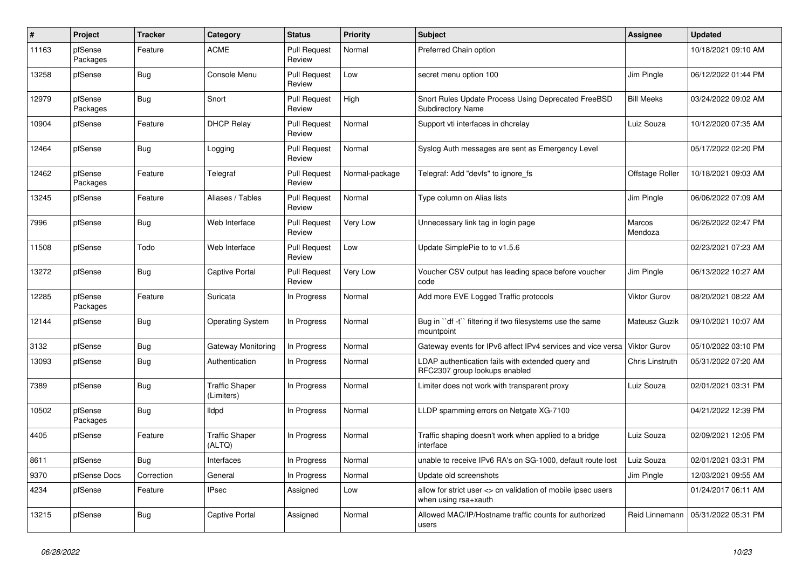| #     | Project             | <b>Tracker</b> | Category                            | <b>Status</b>                 | Priority       | Subject                                                                              | Assignee            | <b>Updated</b>      |
|-------|---------------------|----------------|-------------------------------------|-------------------------------|----------------|--------------------------------------------------------------------------------------|---------------------|---------------------|
| 11163 | pfSense<br>Packages | Feature        | <b>ACME</b>                         | <b>Pull Request</b><br>Review | Normal         | Preferred Chain option                                                               |                     | 10/18/2021 09:10 AM |
| 13258 | pfSense             | Bug            | Console Menu                        | <b>Pull Request</b><br>Review | Low            | secret menu option 100                                                               | Jim Pingle          | 06/12/2022 01:44 PM |
| 12979 | pfSense<br>Packages | Bug            | Snort                               | <b>Pull Request</b><br>Review | High           | Snort Rules Update Process Using Deprecated FreeBSD<br><b>Subdirectory Name</b>      | <b>Bill Meeks</b>   | 03/24/2022 09:02 AM |
| 10904 | pfSense             | Feature        | <b>DHCP Relay</b>                   | <b>Pull Request</b><br>Review | Normal         | Support vti interfaces in dhcrelay                                                   | Luiz Souza          | 10/12/2020 07:35 AM |
| 12464 | pfSense             | Bug            | Logging                             | <b>Pull Request</b><br>Review | Normal         | Syslog Auth messages are sent as Emergency Level                                     |                     | 05/17/2022 02:20 PM |
| 12462 | pfSense<br>Packages | Feature        | Telegraf                            | <b>Pull Request</b><br>Review | Normal-package | Telegraf: Add "devfs" to ignore fs                                                   | Offstage Roller     | 10/18/2021 09:03 AM |
| 13245 | pfSense             | Feature        | Aliases / Tables                    | <b>Pull Request</b><br>Review | Normal         | Type column on Alias lists                                                           | Jim Pingle          | 06/06/2022 07:09 AM |
| 7996  | pfSense             | <b>Bug</b>     | Web Interface                       | <b>Pull Request</b><br>Review | Very Low       | Unnecessary link tag in login page                                                   | Marcos<br>Mendoza   | 06/26/2022 02:47 PM |
| 11508 | pfSense             | Todo           | Web Interface                       | <b>Pull Request</b><br>Review | Low            | Update SimplePie to to v1.5.6                                                        |                     | 02/23/2021 07:23 AM |
| 13272 | pfSense             | Bug            | <b>Captive Portal</b>               | <b>Pull Request</b><br>Review | Very Low       | Voucher CSV output has leading space before voucher<br>code                          | Jim Pingle          | 06/13/2022 10:27 AM |
| 12285 | pfSense<br>Packages | Feature        | Suricata                            | In Progress                   | Normal         | Add more EVE Logged Traffic protocols                                                | <b>Viktor Gurov</b> | 08/20/2021 08:22 AM |
| 12144 | pfSense             | Bug            | <b>Operating System</b>             | In Progress                   | Normal         | Bug in "df -t" filtering if two filesystems use the same<br>mountpoint               | Mateusz Guzik       | 09/10/2021 10:07 AM |
| 3132  | pfSense             | <b>Bug</b>     | Gateway Monitoring                  | In Progress                   | Normal         | Gateway events for IPv6 affect IPv4 services and vice versa                          | <b>Viktor Gurov</b> | 05/10/2022 03:10 PM |
| 13093 | pfSense             | Bug            | Authentication                      | In Progress                   | Normal         | LDAP authentication fails with extended query and<br>RFC2307 group lookups enabled   | Chris Linstruth     | 05/31/2022 07:20 AM |
| 7389  | pfSense             | Bug            | <b>Traffic Shaper</b><br>(Limiters) | In Progress                   | Normal         | Limiter does not work with transparent proxy                                         | Luiz Souza          | 02/01/2021 03:31 PM |
| 10502 | pfSense<br>Packages | Bug            | lldpd                               | In Progress                   | Normal         | LLDP spamming errors on Netgate XG-7100                                              |                     | 04/21/2022 12:39 PM |
| 4405  | pfSense             | Feature        | <b>Traffic Shaper</b><br>(ALTQ)     | In Progress                   | Normal         | Traffic shaping doesn't work when applied to a bridge<br>interface                   | Luiz Souza          | 02/09/2021 12:05 PM |
| 8611  | pfSense             | Bug            | Interfaces                          | In Progress                   | Normal         | unable to receive IPv6 RA's on SG-1000, default route lost                           | Luiz Souza          | 02/01/2021 03:31 PM |
| 9370  | pfSense Docs        | Correction     | General                             | In Progress                   | Normal         | Update old screenshots                                                               | Jim Pingle          | 12/03/2021 09:55 AM |
| 4234  | pfSense             | Feature        | <b>IPsec</b>                        | Assigned                      | Low            | allow for strict user <> cn validation of mobile ipsec users<br>when using rsa+xauth |                     | 01/24/2017 06:11 AM |
| 13215 | pfSense             | <b>Bug</b>     | <b>Captive Portal</b>               | Assigned                      | Normal         | Allowed MAC/IP/Hostname traffic counts for authorized<br>users                       | Reid Linnemann      | 05/31/2022 05:31 PM |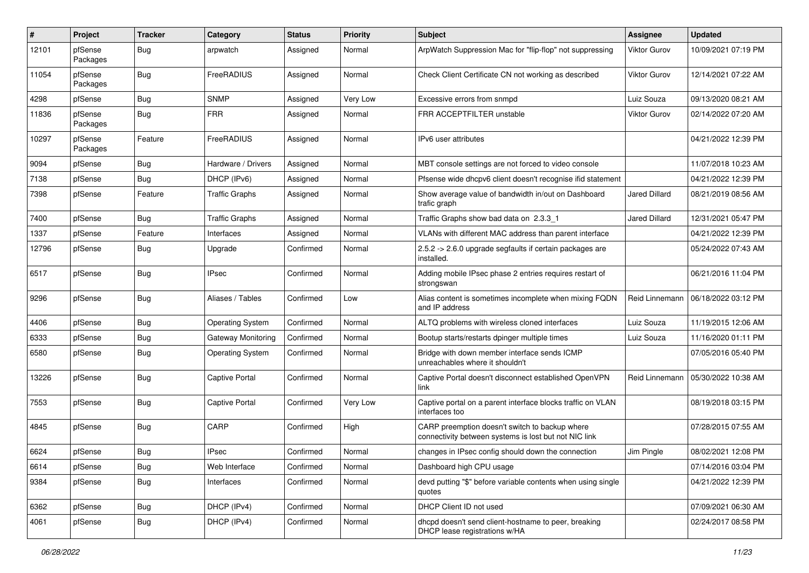| #     | Project             | <b>Tracker</b> | Category                | <b>Status</b> | <b>Priority</b> | <b>Subject</b>                                                                                          | Assignee             | <b>Updated</b>      |
|-------|---------------------|----------------|-------------------------|---------------|-----------------|---------------------------------------------------------------------------------------------------------|----------------------|---------------------|
| 12101 | pfSense<br>Packages | Bug            | arpwatch                | Assigned      | Normal          | ArpWatch Suppression Mac for "flip-flop" not suppressing                                                | <b>Viktor Gurov</b>  | 10/09/2021 07:19 PM |
| 11054 | pfSense<br>Packages | Bug            | FreeRADIUS              | Assigned      | Normal          | Check Client Certificate CN not working as described                                                    | <b>Viktor Gurov</b>  | 12/14/2021 07:22 AM |
| 4298  | pfSense             | <b>Bug</b>     | <b>SNMP</b>             | Assigned      | Very Low        | Excessive errors from snmpd                                                                             | Luiz Souza           | 09/13/2020 08:21 AM |
| 11836 | pfSense<br>Packages | Bug            | <b>FRR</b>              | Assigned      | Normal          | FRR ACCEPTFILTER unstable                                                                               | <b>Viktor Gurov</b>  | 02/14/2022 07:20 AM |
| 10297 | pfSense<br>Packages | Feature        | FreeRADIUS              | Assigned      | Normal          | IPv6 user attributes                                                                                    |                      | 04/21/2022 12:39 PM |
| 9094  | pfSense             | Bug            | Hardware / Drivers      | Assigned      | Normal          | MBT console settings are not forced to video console                                                    |                      | 11/07/2018 10:23 AM |
| 7138  | pfSense             | Bug            | DHCP (IPv6)             | Assigned      | Normal          | Pfsense wide dhcpv6 client doesn't recognise ifid statement                                             |                      | 04/21/2022 12:39 PM |
| 7398  | pfSense             | Feature        | <b>Traffic Graphs</b>   | Assigned      | Normal          | Show average value of bandwidth in/out on Dashboard<br>trafic graph                                     | Jared Dillard        | 08/21/2019 08:56 AM |
| 7400  | pfSense             | Bug            | <b>Traffic Graphs</b>   | Assigned      | Normal          | Traffic Graphs show bad data on 2.3.3 1                                                                 | <b>Jared Dillard</b> | 12/31/2021 05:47 PM |
| 1337  | pfSense             | Feature        | Interfaces              | Assigned      | Normal          | VLANs with different MAC address than parent interface                                                  |                      | 04/21/2022 12:39 PM |
| 12796 | pfSense             | Bug            | Upgrade                 | Confirmed     | Normal          | 2.5.2 -> 2.6.0 upgrade segfaults if certain packages are<br>installed.                                  |                      | 05/24/2022 07:43 AM |
| 6517  | pfSense             | Bug            | <b>IPsec</b>            | Confirmed     | Normal          | Adding mobile IPsec phase 2 entries requires restart of<br>strongswan                                   |                      | 06/21/2016 11:04 PM |
| 9296  | pfSense             | Bug            | Aliases / Tables        | Confirmed     | Low             | Alias content is sometimes incomplete when mixing FQDN<br>and IP address                                | Reid Linnemann       | 06/18/2022 03:12 PM |
| 4406  | pfSense             | Bug            | <b>Operating System</b> | Confirmed     | Normal          | ALTQ problems with wireless cloned interfaces                                                           | Luiz Souza           | 11/19/2015 12:06 AM |
| 6333  | pfSense             | <b>Bug</b>     | Gateway Monitoring      | Confirmed     | Normal          | Bootup starts/restarts dpinger multiple times                                                           | Luiz Souza           | 11/16/2020 01:11 PM |
| 6580  | pfSense             | Bug            | <b>Operating System</b> | Confirmed     | Normal          | Bridge with down member interface sends ICMP<br>unreachables where it shouldn't                         |                      | 07/05/2016 05:40 PM |
| 13226 | pfSense             | Bug            | Captive Portal          | Confirmed     | Normal          | Captive Portal doesn't disconnect established OpenVPN<br>link                                           | Reid Linnemann       | 05/30/2022 10:38 AM |
| 7553  | pfSense             | Bug            | <b>Captive Portal</b>   | Confirmed     | Very Low        | Captive portal on a parent interface blocks traffic on VLAN<br>interfaces too                           |                      | 08/19/2018 03:15 PM |
| 4845  | pfSense             | Bug            | CARP                    | Confirmed     | High            | CARP preemption doesn't switch to backup where<br>connectivity between systems is lost but not NIC link |                      | 07/28/2015 07:55 AM |
| 6624  | pfSense             | Bug            | <b>IPsec</b>            | Confirmed     | Normal          | changes in IPsec config should down the connection                                                      | Jim Pingle           | 08/02/2021 12:08 PM |
| 6614  | pfSense             | Bug            | Web Interface           | Confirmed     | Normal          | Dashboard high CPU usage                                                                                |                      | 07/14/2016 03:04 PM |
| 9384  | pfSense             | <b>Bug</b>     | Interfaces              | Confirmed     | Normal          | devd putting "\$" before variable contents when using single<br>quotes                                  |                      | 04/21/2022 12:39 PM |
| 6362  | pfSense             | Bug            | DHCP (IPv4)             | Confirmed     | Normal          | DHCP Client ID not used                                                                                 |                      | 07/09/2021 06:30 AM |
| 4061  | pfSense             | Bug            | DHCP (IPv4)             | Confirmed     | Normal          | dhcpd doesn't send client-hostname to peer, breaking<br>DHCP lease registrations w/HA                   |                      | 02/24/2017 08:58 PM |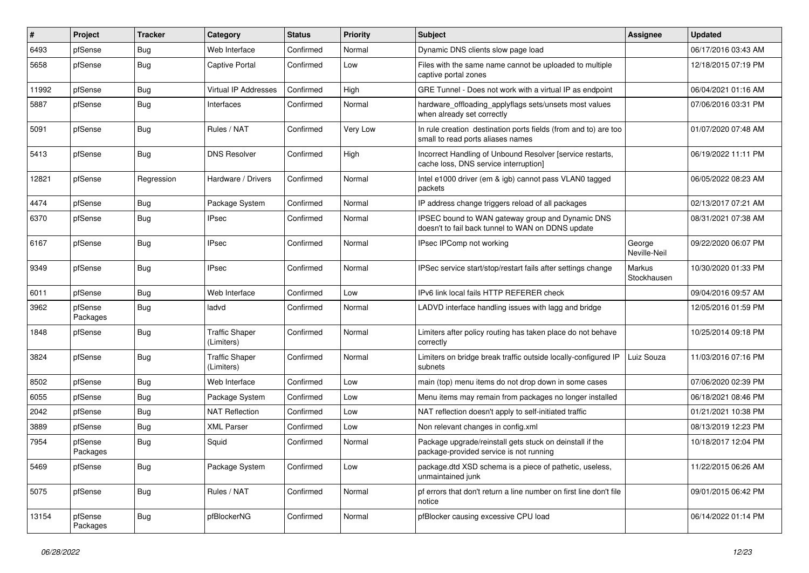| $\sharp$ | Project             | <b>Tracker</b> | Category                            | <b>Status</b> | <b>Priority</b> | <b>Subject</b>                                                                                        | <b>Assignee</b>        | <b>Updated</b>      |
|----------|---------------------|----------------|-------------------------------------|---------------|-----------------|-------------------------------------------------------------------------------------------------------|------------------------|---------------------|
| 6493     | pfSense             | <b>Bug</b>     | Web Interface                       | Confirmed     | Normal          | Dynamic DNS clients slow page load                                                                    |                        | 06/17/2016 03:43 AM |
| 5658     | pfSense             | Bug            | <b>Captive Portal</b>               | Confirmed     | Low             | Files with the same name cannot be uploaded to multiple<br>captive portal zones                       |                        | 12/18/2015 07:19 PM |
| 11992    | pfSense             | Bug            | <b>Virtual IP Addresses</b>         | Confirmed     | High            | GRE Tunnel - Does not work with a virtual IP as endpoint                                              |                        | 06/04/2021 01:16 AM |
| 5887     | pfSense             | Bug            | Interfaces                          | Confirmed     | Normal          | hardware_offloading_applyflags sets/unsets most values<br>when already set correctly                  |                        | 07/06/2016 03:31 PM |
| 5091     | pfSense             | <b>Bug</b>     | Rules / NAT                         | Confirmed     | Very Low        | In rule creation destination ports fields (from and to) are too<br>small to read ports aliases names  |                        | 01/07/2020 07:48 AM |
| 5413     | pfSense             | <b>Bug</b>     | <b>DNS Resolver</b>                 | Confirmed     | High            | Incorrect Handling of Unbound Resolver [service restarts,<br>cache loss, DNS service interruption]    |                        | 06/19/2022 11:11 PM |
| 12821    | pfSense             | Regression     | Hardware / Drivers                  | Confirmed     | Normal          | Intel e1000 driver (em & igb) cannot pass VLAN0 tagged<br>packets                                     |                        | 06/05/2022 08:23 AM |
| 4474     | pfSense             | Bug            | Package System                      | Confirmed     | Normal          | IP address change triggers reload of all packages                                                     |                        | 02/13/2017 07:21 AM |
| 6370     | pfSense             | Bug            | <b>IPsec</b>                        | Confirmed     | Normal          | IPSEC bound to WAN gateway group and Dynamic DNS<br>doesn't to fail back tunnel to WAN on DDNS update |                        | 08/31/2021 07:38 AM |
| 6167     | pfSense             | Bug            | <b>IPsec</b>                        | Confirmed     | Normal          | IPsec IPComp not working                                                                              | George<br>Neville-Neil | 09/22/2020 06:07 PM |
| 9349     | pfSense             | Bug            | <b>IPsec</b>                        | Confirmed     | Normal          | IPSec service start/stop/restart fails after settings change                                          | Markus<br>Stockhausen  | 10/30/2020 01:33 PM |
| 6011     | pfSense             | Bug            | Web Interface                       | Confirmed     | Low             | IPv6 link local fails HTTP REFERER check                                                              |                        | 09/04/2016 09:57 AM |
| 3962     | pfSense<br>Packages | <b>Bug</b>     | ladvd                               | Confirmed     | Normal          | LADVD interface handling issues with lagg and bridge                                                  |                        | 12/05/2016 01:59 PM |
| 1848     | pfSense             | Bug            | <b>Traffic Shaper</b><br>(Limiters) | Confirmed     | Normal          | Limiters after policy routing has taken place do not behave<br>correctly                              |                        | 10/25/2014 09:18 PM |
| 3824     | pfSense             | Bug            | <b>Traffic Shaper</b><br>(Limiters) | Confirmed     | Normal          | Limiters on bridge break traffic outside locally-configured IP<br>subnets                             | Luiz Souza             | 11/03/2016 07:16 PM |
| 8502     | pfSense             | <b>Bug</b>     | Web Interface                       | Confirmed     | Low             | main (top) menu items do not drop down in some cases                                                  |                        | 07/06/2020 02:39 PM |
| 6055     | pfSense             | Bug            | Package System                      | Confirmed     | Low             | Menu items may remain from packages no longer installed                                               |                        | 06/18/2021 08:46 PM |
| 2042     | pfSense             | <b>Bug</b>     | <b>NAT Reflection</b>               | Confirmed     | Low             | NAT reflection doesn't apply to self-initiated traffic                                                |                        | 01/21/2021 10:38 PM |
| 3889     | pfSense             | <b>Bug</b>     | <b>XML Parser</b>                   | Confirmed     | Low             | Non relevant changes in config.xml                                                                    |                        | 08/13/2019 12:23 PM |
| 7954     | pfSense<br>Packages | Bug            | Squid                               | Confirmed     | Normal          | Package upgrade/reinstall gets stuck on deinstall if the<br>package-provided service is not running   |                        | 10/18/2017 12:04 PM |
| 5469     | pfSense             | Bug            | Package System                      | Confirmed     | Low             | package.dtd XSD schema is a piece of pathetic, useless,<br>unmaintained junk                          |                        | 11/22/2015 06:26 AM |
| 5075     | pfSense             | Bug            | Rules / NAT                         | Confirmed     | Normal          | pf errors that don't return a line number on first line don't file<br>notice                          |                        | 09/01/2015 06:42 PM |
| 13154    | pfSense<br>Packages | <b>Bug</b>     | pfBlockerNG                         | Confirmed     | Normal          | pfBlocker causing excessive CPU load                                                                  |                        | 06/14/2022 01:14 PM |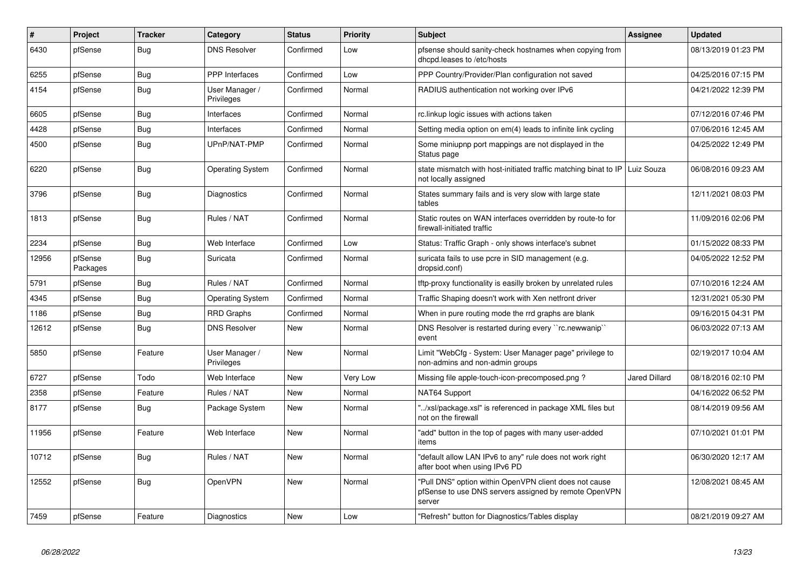| #     | Project             | <b>Tracker</b> | Category                     | <b>Status</b> | <b>Priority</b> | <b>Subject</b>                                                                                                            | <b>Assignee</b>      | <b>Updated</b>      |
|-------|---------------------|----------------|------------------------------|---------------|-----------------|---------------------------------------------------------------------------------------------------------------------------|----------------------|---------------------|
| 6430  | pfSense             | <b>Bug</b>     | <b>DNS Resolver</b>          | Confirmed     | Low             | pfsense should sanity-check hostnames when copying from<br>dhcpd.leases to /etc/hosts                                     |                      | 08/13/2019 01:23 PM |
| 6255  | pfSense             | Bug            | <b>PPP</b> Interfaces        | Confirmed     | Low             | PPP Country/Provider/Plan configuration not saved                                                                         |                      | 04/25/2016 07:15 PM |
| 4154  | pfSense             | <b>Bug</b>     | User Manager /<br>Privileges | Confirmed     | Normal          | RADIUS authentication not working over IPv6                                                                               |                      | 04/21/2022 12:39 PM |
| 6605  | pfSense             | Bug            | Interfaces                   | Confirmed     | Normal          | rc.linkup logic issues with actions taken                                                                                 |                      | 07/12/2016 07:46 PM |
| 4428  | pfSense             | Bug            | Interfaces                   | Confirmed     | Normal          | Setting media option on em(4) leads to infinite link cycling                                                              |                      | 07/06/2016 12:45 AM |
| 4500  | pfSense             | Bug            | UPnP/NAT-PMP                 | Confirmed     | Normal          | Some miniupnp port mappings are not displayed in the<br>Status page                                                       |                      | 04/25/2022 12:49 PM |
| 6220  | pfSense             | Bug            | <b>Operating System</b>      | Confirmed     | Normal          | state mismatch with host-initiated traffic matching binat to IP<br>not locally assigned                                   | Luiz Souza           | 06/08/2016 09:23 AM |
| 3796  | pfSense             | Bug            | Diagnostics                  | Confirmed     | Normal          | States summary fails and is very slow with large state<br>tables                                                          |                      | 12/11/2021 08:03 PM |
| 1813  | pfSense             | Bug            | Rules / NAT                  | Confirmed     | Normal          | Static routes on WAN interfaces overridden by route-to for<br>firewall-initiated traffic                                  |                      | 11/09/2016 02:06 PM |
| 2234  | pfSense             | Bug            | Web Interface                | Confirmed     | Low             | Status: Traffic Graph - only shows interface's subnet                                                                     |                      | 01/15/2022 08:33 PM |
| 12956 | pfSense<br>Packages | <b>Bug</b>     | Suricata                     | Confirmed     | Normal          | suricata fails to use pcre in SID management (e.g.<br>dropsid.conf)                                                       |                      | 04/05/2022 12:52 PM |
| 5791  | pfSense             | <b>Bug</b>     | Rules / NAT                  | Confirmed     | Normal          | tftp-proxy functionality is easilly broken by unrelated rules                                                             |                      | 07/10/2016 12:24 AM |
| 4345  | pfSense             | <b>Bug</b>     | <b>Operating System</b>      | Confirmed     | Normal          | Traffic Shaping doesn't work with Xen netfront driver                                                                     |                      | 12/31/2021 05:30 PM |
| 1186  | pfSense             | Bug            | RRD Graphs                   | Confirmed     | Normal          | When in pure routing mode the rrd graphs are blank                                                                        |                      | 09/16/2015 04:31 PM |
| 12612 | pfSense             | <b>Bug</b>     | <b>DNS Resolver</b>          | New           | Normal          | DNS Resolver is restarted during every "rc.newwanip"<br>event                                                             |                      | 06/03/2022 07:13 AM |
| 5850  | pfSense             | Feature        | User Manager /<br>Privileges | New           | Normal          | Limit "WebCfg - System: User Manager page" privilege to<br>non-admins and non-admin groups                                |                      | 02/19/2017 10:04 AM |
| 6727  | pfSense             | Todo           | Web Interface                | New           | Very Low        | Missing file apple-touch-icon-precomposed.png?                                                                            | <b>Jared Dillard</b> | 08/18/2016 02:10 PM |
| 2358  | pfSense             | Feature        | Rules / NAT                  | New           | Normal          | NAT64 Support                                                                                                             |                      | 04/16/2022 06:52 PM |
| 8177  | pfSense             | <b>Bug</b>     | Package System               | New           | Normal          | '/xsl/package.xsl" is referenced in package XML files but<br>not on the firewall                                          |                      | 08/14/2019 09:56 AM |
| 11956 | pfSense             | Feature        | Web Interface                | <b>New</b>    | Normal          | "add" button in the top of pages with many user-added<br>items                                                            |                      | 07/10/2021 01:01 PM |
| 10712 | pfSense             | <b>Bug</b>     | Rules / NAT                  | <b>New</b>    | Normal          | "default allow LAN IPv6 to any" rule does not work right<br>after boot when using IPv6 PD                                 |                      | 06/30/2020 12:17 AM |
| 12552 | pfSense             | <b>Bug</b>     | OpenVPN                      | <b>New</b>    | Normal          | "Pull DNS" option within OpenVPN client does not cause<br>pfSense to use DNS servers assigned by remote OpenVPN<br>server |                      | 12/08/2021 08:45 AM |
| 7459  | pfSense             | Feature        | Diagnostics                  | New           | Low             | "Refresh" button for Diagnostics/Tables display                                                                           |                      | 08/21/2019 09:27 AM |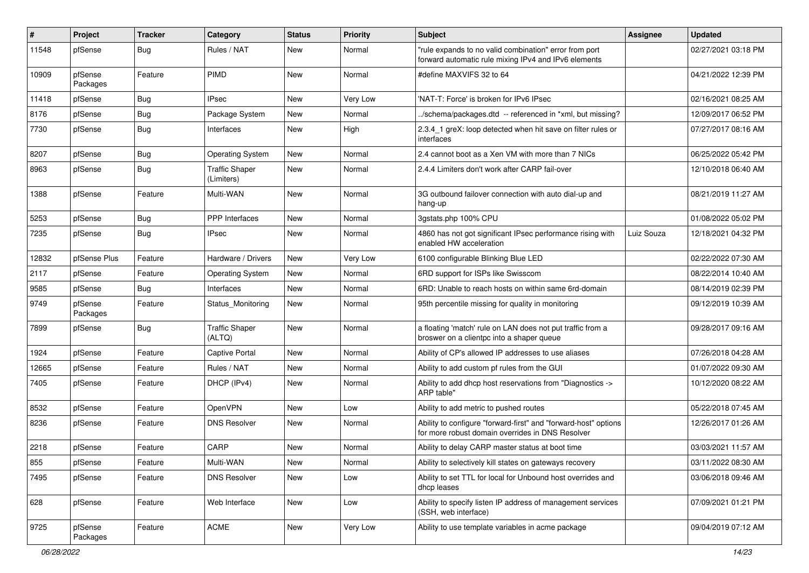| #     | Project             | <b>Tracker</b> | Category                            | <b>Status</b> | Priority | Subject                                                                                                             | Assignee   | <b>Updated</b>      |
|-------|---------------------|----------------|-------------------------------------|---------------|----------|---------------------------------------------------------------------------------------------------------------------|------------|---------------------|
| 11548 | pfSense             | <b>Bug</b>     | Rules / NAT                         | New           | Normal   | "rule expands to no valid combination" error from port<br>forward automatic rule mixing IPv4 and IPv6 elements      |            | 02/27/2021 03:18 PM |
| 10909 | pfSense<br>Packages | Feature        | <b>PIMD</b>                         | New           | Normal   | #define MAXVIFS 32 to 64                                                                                            |            | 04/21/2022 12:39 PM |
| 11418 | pfSense             | Bug            | <b>IPsec</b>                        | <b>New</b>    | Very Low | 'NAT-T: Force' is broken for IPv6 IPsec                                                                             |            | 02/16/2021 08:25 AM |
| 8176  | pfSense             | Bug            | Package System                      | New           | Normal   | ./schema/packages.dtd -- referenced in *xml, but missing?                                                           |            | 12/09/2017 06:52 PM |
| 7730  | pfSense             | Bug            | Interfaces                          | New           | High     | 2.3.4 1 greX: loop detected when hit save on filter rules or<br>interfaces                                          |            | 07/27/2017 08:16 AM |
| 8207  | pfSense             | Bug            | <b>Operating System</b>             | New           | Normal   | 2.4 cannot boot as a Xen VM with more than 7 NICs                                                                   |            | 06/25/2022 05:42 PM |
| 8963  | pfSense             | Bug            | <b>Traffic Shaper</b><br>(Limiters) | New           | Normal   | 2.4.4 Limiters don't work after CARP fail-over                                                                      |            | 12/10/2018 06:40 AM |
| 1388  | pfSense             | Feature        | Multi-WAN                           | New           | Normal   | 3G outbound failover connection with auto dial-up and<br>hang-up                                                    |            | 08/21/2019 11:27 AM |
| 5253  | pfSense             | Bug            | <b>PPP</b> Interfaces               | New           | Normal   | 3gstats.php 100% CPU                                                                                                |            | 01/08/2022 05:02 PM |
| 7235  | pfSense             | Bug            | <b>IPsec</b>                        | New           | Normal   | 4860 has not got significant IPsec performance rising with<br>enabled HW acceleration                               | Luiz Souza | 12/18/2021 04:32 PM |
| 12832 | pfSense Plus        | Feature        | Hardware / Drivers                  | New           | Very Low | 6100 configurable Blinking Blue LED                                                                                 |            | 02/22/2022 07:30 AM |
| 2117  | pfSense             | Feature        | <b>Operating System</b>             | New           | Normal   | 6RD support for ISPs like Swisscom                                                                                  |            | 08/22/2014 10:40 AM |
| 9585  | pfSense             | Bug            | Interfaces                          | New           | Normal   | 6RD: Unable to reach hosts on within same 6rd-domain                                                                |            | 08/14/2019 02:39 PM |
| 9749  | pfSense<br>Packages | Feature        | Status Monitoring                   | New           | Normal   | 95th percentile missing for quality in monitoring                                                                   |            | 09/12/2019 10:39 AM |
| 7899  | pfSense             | Bug            | <b>Traffic Shaper</b><br>(ALTQ)     | New           | Normal   | a floating 'match' rule on LAN does not put traffic from a<br>broswer on a clientpc into a shaper queue             |            | 09/28/2017 09:16 AM |
| 1924  | pfSense             | Feature        | <b>Captive Portal</b>               | New           | Normal   | Ability of CP's allowed IP addresses to use aliases                                                                 |            | 07/26/2018 04:28 AM |
| 12665 | pfSense             | Feature        | Rules / NAT                         | New           | Normal   | Ability to add custom pf rules from the GUI                                                                         |            | 01/07/2022 09:30 AM |
| 7405  | pfSense             | Feature        | DHCP (IPv4)                         | New           | Normal   | Ability to add dhcp host reservations from "Diagnostics -><br>ARP table"                                            |            | 10/12/2020 08:22 AM |
| 8532  | pfSense             | Feature        | OpenVPN                             | New           | Low      | Ability to add metric to pushed routes                                                                              |            | 05/22/2018 07:45 AM |
| 8236  | pfSense             | Feature        | <b>DNS Resolver</b>                 | New           | Normal   | Ability to configure "forward-first" and "forward-host" options<br>for more robust domain overrides in DNS Resolver |            | 12/26/2017 01:26 AM |
| 2218  | pfSense             | Feature        | CARP                                | New           | Normal   | Ability to delay CARP master status at boot time                                                                    |            | 03/03/2021 11:57 AM |
| 855   | pfSense             | Feature        | Multi-WAN                           | New           | Normal   | Ability to selectively kill states on gateways recovery                                                             |            | 03/11/2022 08:30 AM |
| 7495  | pfSense             | Feature        | <b>DNS Resolver</b>                 | New           | Low      | Ability to set TTL for local for Unbound host overrides and<br>dhcp leases                                          |            | 03/06/2018 09:46 AM |
| 628   | pfSense             | Feature        | Web Interface                       | New           | Low      | Ability to specify listen IP address of management services<br>(SSH, web interface)                                 |            | 07/09/2021 01:21 PM |
| 9725  | pfSense<br>Packages | Feature        | <b>ACME</b>                         | New           | Very Low | Ability to use template variables in acme package                                                                   |            | 09/04/2019 07:12 AM |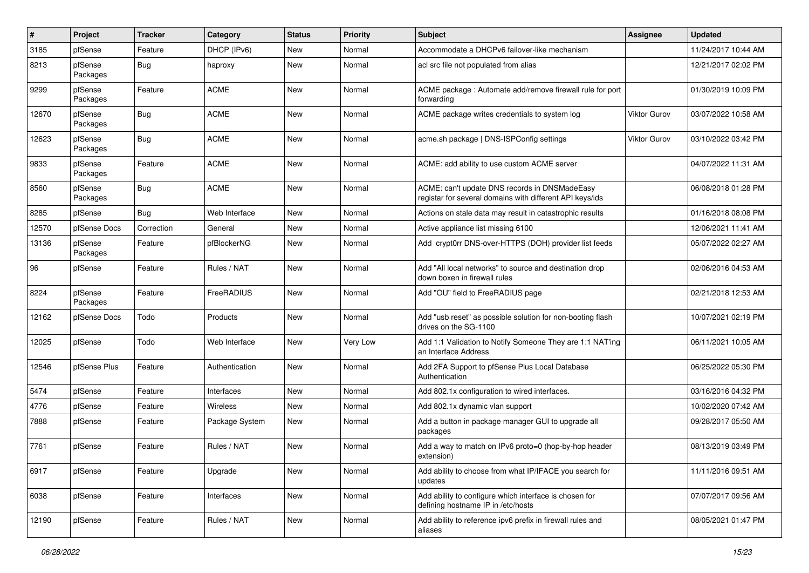| #     | Project             | <b>Tracker</b> | Category          | <b>Status</b> | Priority | Subject                                                                                                   | Assignee     | <b>Updated</b>      |
|-------|---------------------|----------------|-------------------|---------------|----------|-----------------------------------------------------------------------------------------------------------|--------------|---------------------|
| 3185  | pfSense             | Feature        | DHCP (IPv6)       | New           | Normal   | Accommodate a DHCPv6 failover-like mechanism                                                              |              | 11/24/2017 10:44 AM |
| 8213  | pfSense<br>Packages | <b>Bug</b>     | haproxy           | New           | Normal   | acl src file not populated from alias                                                                     |              | 12/21/2017 02:02 PM |
| 9299  | pfSense<br>Packages | Feature        | <b>ACME</b>       | New           | Normal   | ACME package : Automate add/remove firewall rule for port<br>forwarding                                   |              | 01/30/2019 10:09 PM |
| 12670 | pfSense<br>Packages | Bug            | <b>ACME</b>       | New           | Normal   | ACME package writes credentials to system log                                                             | Viktor Gurov | 03/07/2022 10:58 AM |
| 12623 | pfSense<br>Packages | Bug            | <b>ACME</b>       | New           | Normal   | acme.sh package   DNS-ISPConfig settings                                                                  | Viktor Gurov | 03/10/2022 03:42 PM |
| 9833  | pfSense<br>Packages | Feature        | <b>ACME</b>       | New           | Normal   | ACME: add ability to use custom ACME server                                                               |              | 04/07/2022 11:31 AM |
| 8560  | pfSense<br>Packages | Bug            | <b>ACME</b>       | New           | Normal   | ACME: can't update DNS records in DNSMadeEasy<br>registar for several domains with different API keys/ids |              | 06/08/2018 01:28 PM |
| 8285  | pfSense             | Bug            | Web Interface     | New           | Normal   | Actions on stale data may result in catastrophic results                                                  |              | 01/16/2018 08:08 PM |
| 12570 | pfSense Docs        | Correction     | General           | New           | Normal   | Active appliance list missing 6100                                                                        |              | 12/06/2021 11:41 AM |
| 13136 | pfSense<br>Packages | Feature        | pfBlockerNG       | New           | Normal   | Add crypt0rr DNS-over-HTTPS (DOH) provider list feeds                                                     |              | 05/07/2022 02:27 AM |
| 96    | pfSense             | Feature        | Rules / NAT       | New           | Normal   | Add "All local networks" to source and destination drop<br>down boxen in firewall rules                   |              | 02/06/2016 04:53 AM |
| 8224  | pfSense<br>Packages | Feature        | <b>FreeRADIUS</b> | New           | Normal   | Add "OU" field to FreeRADIUS page                                                                         |              | 02/21/2018 12:53 AM |
| 12162 | pfSense Docs        | Todo           | Products          | New           | Normal   | Add "usb reset" as possible solution for non-booting flash<br>drives on the SG-1100                       |              | 10/07/2021 02:19 PM |
| 12025 | pfSense             | Todo           | Web Interface     | New           | Very Low | Add 1:1 Validation to Notify Someone They are 1:1 NAT'ing<br>an Interface Address                         |              | 06/11/2021 10:05 AM |
| 12546 | pfSense Plus        | Feature        | Authentication    | New           | Normal   | Add 2FA Support to pfSense Plus Local Database<br>Authentication                                          |              | 06/25/2022 05:30 PM |
| 5474  | pfSense             | Feature        | Interfaces        | New           | Normal   | Add 802.1x configuration to wired interfaces.                                                             |              | 03/16/2016 04:32 PM |
| 4776  | pfSense             | Feature        | Wireless          | New           | Normal   | Add 802.1x dynamic vlan support                                                                           |              | 10/02/2020 07:42 AM |
| 7888  | pfSense             | Feature        | Package System    | New           | Normal   | Add a button in package manager GUI to upgrade all<br>packages                                            |              | 09/28/2017 05:50 AM |
| 7761  | pfSense             | Feature        | Rules / NAT       | New           | Normal   | Add a way to match on IPv6 proto=0 (hop-by-hop header<br>extension)                                       |              | 08/13/2019 03:49 PM |
| 6917  | pfSense             | Feature        | Upgrade           | New           | Normal   | Add ability to choose from what IP/IFACE you search for<br>updates                                        |              | 11/11/2016 09:51 AM |
| 6038  | pfSense             | Feature        | Interfaces        | New           | Normal   | Add ability to configure which interface is chosen for<br>defining hostname IP in /etc/hosts              |              | 07/07/2017 09:56 AM |
| 12190 | pfSense             | Feature        | Rules / NAT       | New           | Normal   | Add ability to reference ipv6 prefix in firewall rules and<br>aliases                                     |              | 08/05/2021 01:47 PM |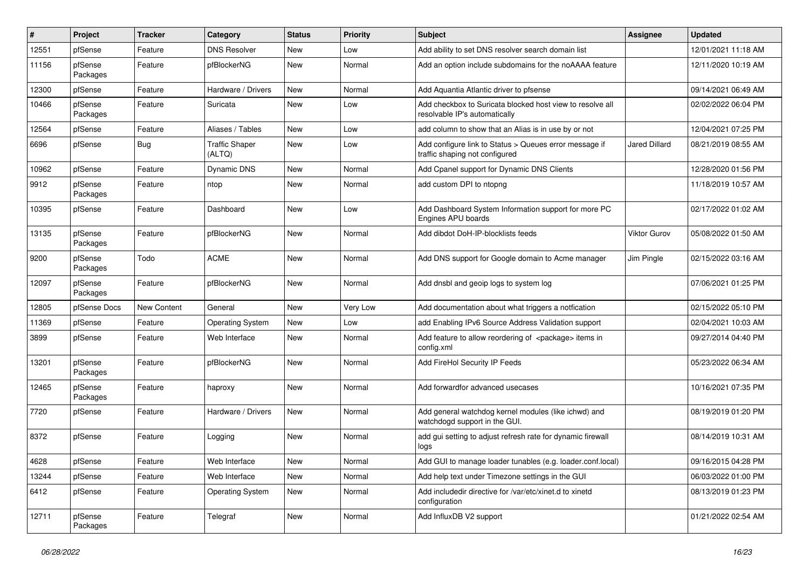| #     | Project             | <b>Tracker</b> | Category                        | <b>Status</b> | <b>Priority</b> | <b>Subject</b>                                                                             | Assignee             | <b>Updated</b>      |
|-------|---------------------|----------------|---------------------------------|---------------|-----------------|--------------------------------------------------------------------------------------------|----------------------|---------------------|
| 12551 | pfSense             | Feature        | <b>DNS Resolver</b>             | New           | Low             | Add ability to set DNS resolver search domain list                                         |                      | 12/01/2021 11:18 AM |
| 11156 | pfSense<br>Packages | Feature        | pfBlockerNG                     | New           | Normal          | Add an option include subdomains for the noAAAA feature                                    |                      | 12/11/2020 10:19 AM |
| 12300 | pfSense             | Feature        | Hardware / Drivers              | New           | Normal          | Add Aquantia Atlantic driver to pfsense                                                    |                      | 09/14/2021 06:49 AM |
| 10466 | pfSense<br>Packages | Feature        | Suricata                        | New           | Low             | Add checkbox to Suricata blocked host view to resolve all<br>resolvable IP's automatically |                      | 02/02/2022 06:04 PM |
| 12564 | pfSense             | Feature        | Aliases / Tables                | New           | Low             | add column to show that an Alias is in use by or not                                       |                      | 12/04/2021 07:25 PM |
| 6696  | pfSense             | Bug            | <b>Traffic Shaper</b><br>(ALTQ) | New           | Low             | Add configure link to Status > Queues error message if<br>traffic shaping not configured   | <b>Jared Dillard</b> | 08/21/2019 08:55 AM |
| 10962 | pfSense             | Feature        | <b>Dynamic DNS</b>              | New           | Normal          | Add Cpanel support for Dynamic DNS Clients                                                 |                      | 12/28/2020 01:56 PM |
| 9912  | pfSense<br>Packages | Feature        | ntop                            | New           | Normal          | add custom DPI to ntopng                                                                   |                      | 11/18/2019 10:57 AM |
| 10395 | pfSense             | Feature        | Dashboard                       | New           | Low             | Add Dashboard System Information support for more PC<br>Engines APU boards                 |                      | 02/17/2022 01:02 AM |
| 13135 | pfSense<br>Packages | Feature        | pfBlockerNG                     | New           | Normal          | Add dibdot DoH-IP-blocklists feeds                                                         | <b>Viktor Gurov</b>  | 05/08/2022 01:50 AM |
| 9200  | pfSense<br>Packages | Todo           | <b>ACME</b>                     | New           | Normal          | Add DNS support for Google domain to Acme manager                                          | Jim Pingle           | 02/15/2022 03:16 AM |
| 12097 | pfSense<br>Packages | Feature        | pfBlockerNG                     | New           | Normal          | Add dnsbl and geoip logs to system log                                                     |                      | 07/06/2021 01:25 PM |
| 12805 | pfSense Docs        | New Content    | General                         | New           | Very Low        | Add documentation about what triggers a notfication                                        |                      | 02/15/2022 05:10 PM |
| 11369 | pfSense             | Feature        | <b>Operating System</b>         | New           | Low             | add Enabling IPv6 Source Address Validation support                                        |                      | 02/04/2021 10:03 AM |
| 3899  | pfSense             | Feature        | Web Interface                   | New           | Normal          | Add feature to allow reordering of <package> items in<br/>config.xml</package>             |                      | 09/27/2014 04:40 PM |
| 13201 | pfSense<br>Packages | Feature        | pfBlockerNG                     | New           | Normal          | Add FireHol Security IP Feeds                                                              |                      | 05/23/2022 06:34 AM |
| 12465 | pfSense<br>Packages | Feature        | haproxy                         | New           | Normal          | Add forwardfor advanced usecases                                                           |                      | 10/16/2021 07:35 PM |
| 7720  | pfSense             | Feature        | Hardware / Drivers              | New           | Normal          | Add general watchdog kernel modules (like ichwd) and<br>watchdogd support in the GUI.      |                      | 08/19/2019 01:20 PM |
| 8372  | pfSense             | Feature        | Logging                         | New           | Normal          | add gui setting to adjust refresh rate for dynamic firewall<br>logs                        |                      | 08/14/2019 10:31 AM |
| 4628  | pfSense             | Feature        | Web Interface                   | New           | Normal          | Add GUI to manage loader tunables (e.g. loader.conf.local)                                 |                      | 09/16/2015 04:28 PM |
| 13244 | pfSense             | Feature        | Web Interface                   | New           | Normal          | Add help text under Timezone settings in the GUI                                           |                      | 06/03/2022 01:00 PM |
| 6412  | pfSense             | Feature        | <b>Operating System</b>         | New           | Normal          | Add includedir directive for /var/etc/xinet.d to xinetd<br>configuration                   |                      | 08/13/2019 01:23 PM |
| 12711 | pfSense<br>Packages | Feature        | Telegraf                        | New           | Normal          | Add InfluxDB V2 support                                                                    |                      | 01/21/2022 02:54 AM |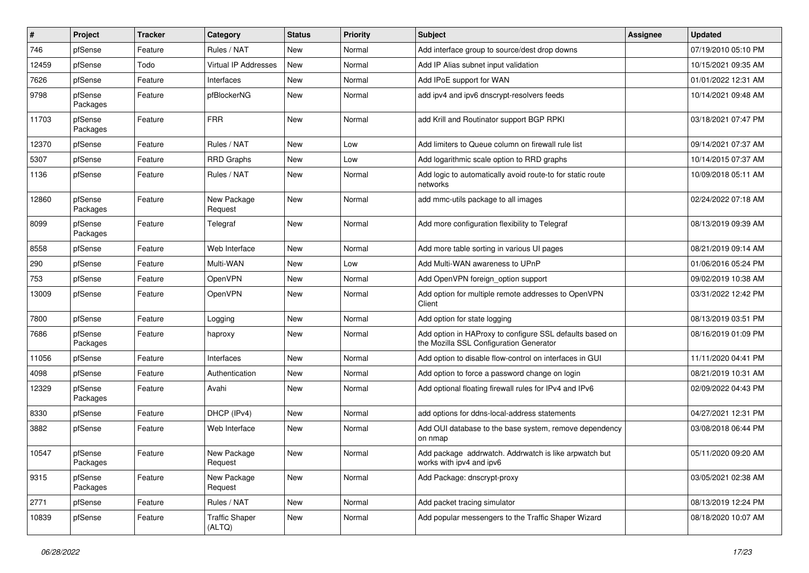| #     | Project             | <b>Tracker</b> | Category                        | <b>Status</b> | <b>Priority</b> | Subject                                                                                             | Assignee | <b>Updated</b>      |
|-------|---------------------|----------------|---------------------------------|---------------|-----------------|-----------------------------------------------------------------------------------------------------|----------|---------------------|
| 746   | pfSense             | Feature        | Rules / NAT                     | New           | Normal          | Add interface group to source/dest drop downs                                                       |          | 07/19/2010 05:10 PM |
| 12459 | pfSense             | Todo           | Virtual IP Addresses            | New           | Normal          | Add IP Alias subnet input validation                                                                |          | 10/15/2021 09:35 AM |
| 7626  | pfSense             | Feature        | Interfaces                      | New           | Normal          | Add IPoE support for WAN                                                                            |          | 01/01/2022 12:31 AM |
| 9798  | pfSense<br>Packages | Feature        | pfBlockerNG                     | New           | Normal          | add ipv4 and ipv6 dnscrypt-resolvers feeds                                                          |          | 10/14/2021 09:48 AM |
| 11703 | pfSense<br>Packages | Feature        | <b>FRR</b>                      | New           | Normal          | add Krill and Routinator support BGP RPKI                                                           |          | 03/18/2021 07:47 PM |
| 12370 | pfSense             | Feature        | Rules / NAT                     | New           | Low             | Add limiters to Queue column on firewall rule list                                                  |          | 09/14/2021 07:37 AM |
| 5307  | pfSense             | Feature        | <b>RRD Graphs</b>               | New           | Low             | Add logarithmic scale option to RRD graphs                                                          |          | 10/14/2015 07:37 AM |
| 1136  | pfSense             | Feature        | Rules / NAT                     | New           | Normal          | Add logic to automatically avoid route-to for static route<br>networks                              |          | 10/09/2018 05:11 AM |
| 12860 | pfSense<br>Packages | Feature        | New Package<br>Request          | New           | Normal          | add mmc-utils package to all images                                                                 |          | 02/24/2022 07:18 AM |
| 8099  | pfSense<br>Packages | Feature        | Telegraf                        | New           | Normal          | Add more configuration flexibility to Telegraf                                                      |          | 08/13/2019 09:39 AM |
| 8558  | pfSense             | Feature        | Web Interface                   | New           | Normal          | Add more table sorting in various UI pages                                                          |          | 08/21/2019 09:14 AM |
| 290   | pfSense             | Feature        | Multi-WAN                       | New           | Low             | Add Multi-WAN awareness to UPnP                                                                     |          | 01/06/2016 05:24 PM |
| 753   | pfSense             | Feature        | OpenVPN                         | New           | Normal          | Add OpenVPN foreign option support                                                                  |          | 09/02/2019 10:38 AM |
| 13009 | pfSense             | Feature        | OpenVPN                         | New           | Normal          | Add option for multiple remote addresses to OpenVPN<br>Client                                       |          | 03/31/2022 12:42 PM |
| 7800  | pfSense             | Feature        | Logging                         | <b>New</b>    | Normal          | Add option for state logging                                                                        |          | 08/13/2019 03:51 PM |
| 7686  | pfSense<br>Packages | Feature        | haproxy                         | New           | Normal          | Add option in HAProxy to configure SSL defaults based on<br>the Mozilla SSL Configuration Generator |          | 08/16/2019 01:09 PM |
| 11056 | pfSense             | Feature        | Interfaces                      | New           | Normal          | Add option to disable flow-control on interfaces in GUI                                             |          | 11/11/2020 04:41 PM |
| 4098  | pfSense             | Feature        | Authentication                  | New           | Normal          | Add option to force a password change on login                                                      |          | 08/21/2019 10:31 AM |
| 12329 | pfSense<br>Packages | Feature        | Avahi                           | New           | Normal          | Add optional floating firewall rules for IPv4 and IPv6                                              |          | 02/09/2022 04:43 PM |
| 8330  | pfSense             | Feature        | DHCP (IPv4)                     | New           | Normal          | add options for ddns-local-address statements                                                       |          | 04/27/2021 12:31 PM |
| 3882  | pfSense             | Feature        | Web Interface                   | New           | Normal          | Add OUI database to the base system, remove dependency<br>on nmap                                   |          | 03/08/2018 06:44 PM |
| 10547 | pfSense<br>Packages | Feature        | New Package<br>Request          | <b>New</b>    | Normal          | Add package addrwatch. Addrwatch is like arpwatch but<br>works with ipv4 and ipv6                   |          | 05/11/2020 09:20 AM |
| 9315  | pfSense<br>Packages | Feature        | New Package<br>Request          | New           | Normal          | Add Package: dnscrypt-proxy                                                                         |          | 03/05/2021 02:38 AM |
| 2771  | pfSense             | Feature        | Rules / NAT                     | New           | Normal          | Add packet tracing simulator                                                                        |          | 08/13/2019 12:24 PM |
| 10839 | pfSense             | Feature        | <b>Traffic Shaper</b><br>(ALTQ) | New           | Normal          | Add popular messengers to the Traffic Shaper Wizard                                                 |          | 08/18/2020 10:07 AM |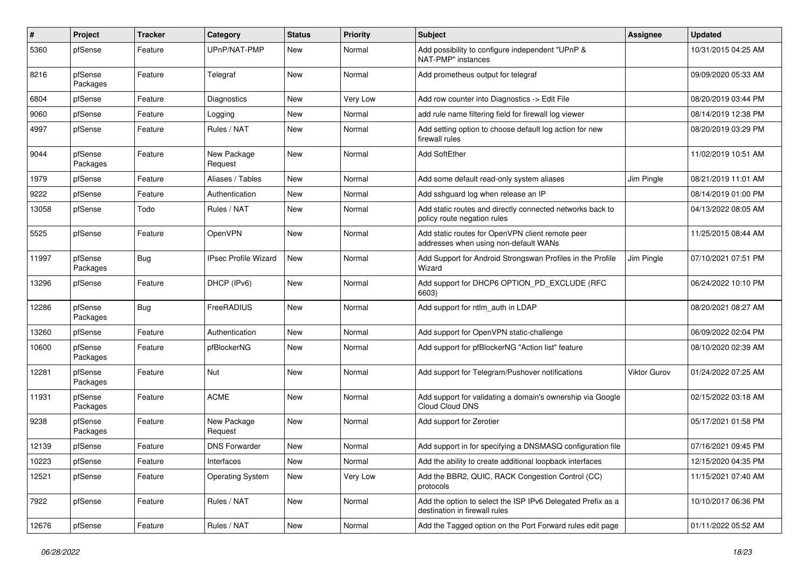| $\sharp$ | <b>Project</b>      | <b>Tracker</b> | Category                    | <b>Status</b> | <b>Priority</b> | <b>Subject</b>                                                                               | Assignee            | <b>Updated</b>      |
|----------|---------------------|----------------|-----------------------------|---------------|-----------------|----------------------------------------------------------------------------------------------|---------------------|---------------------|
| 5360     | pfSense             | Feature        | UPnP/NAT-PMP                | New           | Normal          | Add possibility to configure independent "UPnP &<br>NAT-PMP" instances                       |                     | 10/31/2015 04:25 AM |
| 8216     | pfSense<br>Packages | Feature        | Telegraf                    | New           | Normal          | Add prometheus output for telegraf                                                           |                     | 09/09/2020 05:33 AM |
| 6804     | pfSense             | Feature        | <b>Diagnostics</b>          | New           | Very Low        | Add row counter into Diagnostics -> Edit File                                                |                     | 08/20/2019 03:44 PM |
| 9060     | pfSense             | Feature        | Logging                     | New           | Normal          | add rule name filtering field for firewall log viewer                                        |                     | 08/14/2019 12:38 PM |
| 4997     | pfSense             | Feature        | Rules / NAT                 | New           | Normal          | Add setting option to choose default log action for new<br>firewall rules                    |                     | 08/20/2019 03:29 PM |
| 9044     | pfSense<br>Packages | Feature        | New Package<br>Request      | New           | Normal          | <b>Add SoftEther</b>                                                                         |                     | 11/02/2019 10:51 AM |
| 1979     | pfSense             | Feature        | Aliases / Tables            | New           | Normal          | Add some default read-only system aliases                                                    | Jim Pingle          | 08/21/2019 11:01 AM |
| 9222     | pfSense             | Feature        | Authentication              | New           | Normal          | Add sshguard log when release an IP                                                          |                     | 08/14/2019 01:00 PM |
| 13058    | pfSense             | Todo           | Rules / NAT                 | New           | Normal          | Add static routes and directly connected networks back to<br>policy route negation rules     |                     | 04/13/2022 08:05 AM |
| 5525     | pfSense             | Feature        | OpenVPN                     | New           | Normal          | Add static routes for OpenVPN client remote peer<br>addresses when using non-default WANs    |                     | 11/25/2015 08:44 AM |
| 11997    | pfSense<br>Packages | Bug            | <b>IPsec Profile Wizard</b> | New           | Normal          | Add Support for Android Strongswan Profiles in the Profile<br>Wizard                         | Jim Pingle          | 07/10/2021 07:51 PM |
| 13296    | pfSense             | Feature        | DHCP (IPv6)                 | New           | Normal          | Add support for DHCP6 OPTION_PD_EXCLUDE (RFC<br>6603)                                        |                     | 06/24/2022 10:10 PM |
| 12286    | pfSense<br>Packages | Bug            | FreeRADIUS                  | New           | Normal          | Add support for ntlm_auth in LDAP                                                            |                     | 08/20/2021 08:27 AM |
| 13260    | pfSense             | Feature        | Authentication              | New           | Normal          | Add support for OpenVPN static-challenge                                                     |                     | 06/09/2022 02:04 PM |
| 10600    | pfSense<br>Packages | Feature        | pfBlockerNG                 | New           | Normal          | Add support for pfBlockerNG "Action list" feature                                            |                     | 08/10/2020 02:39 AM |
| 12281    | pfSense<br>Packages | Feature        | Nut                         | New           | Normal          | Add support for Telegram/Pushover notifications                                              | <b>Viktor Gurov</b> | 01/24/2022 07:25 AM |
| 11931    | pfSense<br>Packages | Feature        | <b>ACME</b>                 | New           | Normal          | Add support for validating a domain's ownership via Google<br>Cloud Cloud DNS                |                     | 02/15/2022 03:18 AM |
| 9238     | pfSense<br>Packages | Feature        | New Package<br>Request      | New           | Normal          | Add support for Zerotier                                                                     |                     | 05/17/2021 01:58 PM |
| 12139    | pfSense             | Feature        | <b>DNS Forwarder</b>        | <b>New</b>    | Normal          | Add support in for specifying a DNSMASQ configuration file                                   |                     | 07/16/2021 09:45 PM |
| 10223    | pfSense             | Feature        | Interfaces                  | New           | Normal          | Add the ability to create additional loopback interfaces                                     |                     | 12/15/2020 04:35 PM |
| 12521    | pfSense             | Feature        | <b>Operating System</b>     | New           | Very Low        | Add the BBR2, QUIC, RACK Congestion Control (CC)<br>protocols                                |                     | 11/15/2021 07:40 AM |
| 7922     | pfSense             | Feature        | Rules / NAT                 | New           | Normal          | Add the option to select the ISP IPv6 Delegated Prefix as a<br>destination in firewall rules |                     | 10/10/2017 06:36 PM |
| 12676    | pfSense             | Feature        | Rules / NAT                 | New           | Normal          | Add the Tagged option on the Port Forward rules edit page                                    |                     | 01/11/2022 05:52 AM |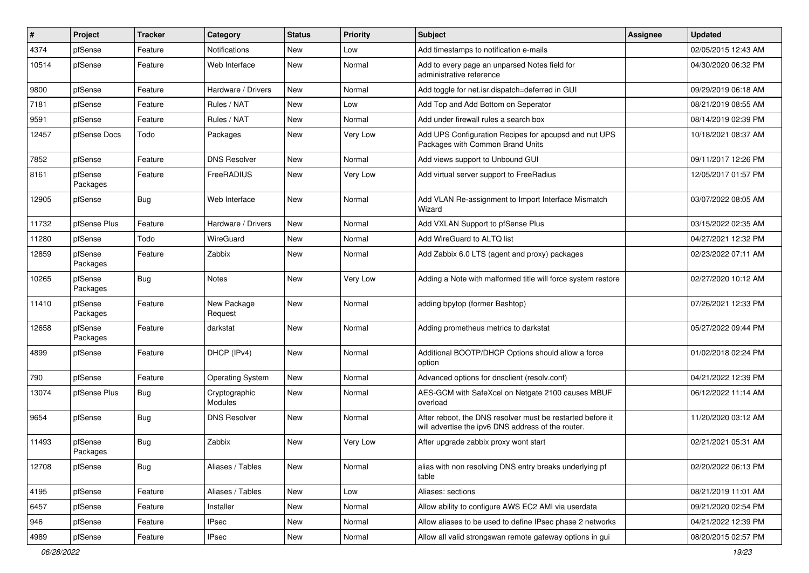| $\vert$ # | Project             | <b>Tracker</b> | Category                        | <b>Status</b> | <b>Priority</b> | Subject                                                                                                          | Assignee | <b>Updated</b>      |
|-----------|---------------------|----------------|---------------------------------|---------------|-----------------|------------------------------------------------------------------------------------------------------------------|----------|---------------------|
| 4374      | pfSense             | Feature        | <b>Notifications</b>            | New           | Low             | Add timestamps to notification e-mails                                                                           |          | 02/05/2015 12:43 AM |
| 10514     | pfSense             | Feature        | Web Interface                   | New           | Normal          | Add to every page an unparsed Notes field for<br>administrative reference                                        |          | 04/30/2020 06:32 PM |
| 9800      | pfSense             | Feature        | Hardware / Drivers              | New           | Normal          | Add toggle for net.isr.dispatch=deferred in GUI                                                                  |          | 09/29/2019 06:18 AM |
| 7181      | pfSense             | Feature        | Rules / NAT                     | New           | Low             | Add Top and Add Bottom on Seperator                                                                              |          | 08/21/2019 08:55 AM |
| 9591      | pfSense             | Feature        | Rules / NAT                     | New           | Normal          | Add under firewall rules a search box                                                                            |          | 08/14/2019 02:39 PM |
| 12457     | pfSense Docs        | Todo           | Packages                        | New           | Very Low        | Add UPS Configuration Recipes for apcupsd and nut UPS<br>Packages with Common Brand Units                        |          | 10/18/2021 08:37 AM |
| 7852      | pfSense             | Feature        | <b>DNS Resolver</b>             | New           | Normal          | Add views support to Unbound GUI                                                                                 |          | 09/11/2017 12:26 PM |
| 8161      | pfSense<br>Packages | Feature        | FreeRADIUS                      | New           | Very Low        | Add virtual server support to FreeRadius                                                                         |          | 12/05/2017 01:57 PM |
| 12905     | pfSense             | Bug            | Web Interface                   | New           | Normal          | Add VLAN Re-assignment to Import Interface Mismatch<br>Wizard                                                    |          | 03/07/2022 08:05 AM |
| 11732     | pfSense Plus        | Feature        | Hardware / Drivers              | New           | Normal          | Add VXLAN Support to pfSense Plus                                                                                |          | 03/15/2022 02:35 AM |
| 11280     | pfSense             | Todo           | WireGuard                       | New           | Normal          | Add WireGuard to ALTQ list                                                                                       |          | 04/27/2021 12:32 PM |
| 12859     | pfSense<br>Packages | Feature        | Zabbix                          | New           | Normal          | Add Zabbix 6.0 LTS (agent and proxy) packages                                                                    |          | 02/23/2022 07:11 AM |
| 10265     | pfSense<br>Packages | <b>Bug</b>     | Notes                           | New           | Very Low        | Adding a Note with malformed title will force system restore                                                     |          | 02/27/2020 10:12 AM |
| 11410     | pfSense<br>Packages | Feature        | New Package<br>Request          | New           | Normal          | adding bpytop (former Bashtop)                                                                                   |          | 07/26/2021 12:33 PM |
| 12658     | pfSense<br>Packages | Feature        | darkstat                        | New           | Normal          | Adding prometheus metrics to darkstat                                                                            |          | 05/27/2022 09:44 PM |
| 4899      | pfSense             | Feature        | DHCP (IPv4)                     | New           | Normal          | Additional BOOTP/DHCP Options should allow a force<br>option                                                     |          | 01/02/2018 02:24 PM |
| 790       | pfSense             | Feature        | <b>Operating System</b>         | New           | Normal          | Advanced options for dnsclient (resolv.conf)                                                                     |          | 04/21/2022 12:39 PM |
| 13074     | pfSense Plus        | Bug            | Cryptographic<br><b>Modules</b> | New           | Normal          | AES-GCM with SafeXcel on Netgate 2100 causes MBUF<br>overload                                                    |          | 06/12/2022 11:14 AM |
| 9654      | pfSense             | Bug            | <b>DNS Resolver</b>             | New           | Normal          | After reboot, the DNS resolver must be restarted before it<br>will advertise the ipv6 DNS address of the router. |          | 11/20/2020 03:12 AM |
| 11493     | pfSense<br>Packages | <b>Bug</b>     | Zabbix                          | New           | Very Low        | After upgrade zabbix proxy wont start                                                                            |          | 02/21/2021 05:31 AM |
| 12708     | pfSense             | Bug            | Aliases / Tables                | New           | Normal          | alias with non resolving DNS entry breaks underlying pf<br>table                                                 |          | 02/20/2022 06:13 PM |
| 4195      | pfSense             | Feature        | Aliases / Tables                | New           | Low             | Aliases: sections                                                                                                |          | 08/21/2019 11:01 AM |
| 6457      | pfSense             | Feature        | Installer                       | New           | Normal          | Allow ability to configure AWS EC2 AMI via userdata                                                              |          | 09/21/2020 02:54 PM |
| 946       | pfSense             | Feature        | <b>IPsec</b>                    | New           | Normal          | Allow aliases to be used to define IPsec phase 2 networks                                                        |          | 04/21/2022 12:39 PM |
| 4989      | pfSense             | Feature        | <b>IPsec</b>                    | New           | Normal          | Allow all valid strongswan remote gateway options in gui                                                         |          | 08/20/2015 02:57 PM |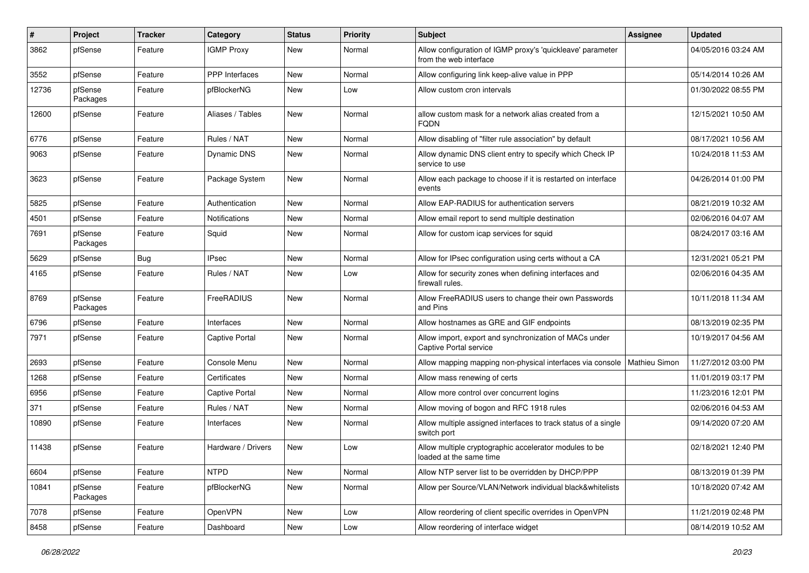| #     | Project             | <b>Tracker</b> | Category              | <b>Status</b> | <b>Priority</b> | <b>Subject</b>                                                                       | Assignee      | <b>Updated</b>      |
|-------|---------------------|----------------|-----------------------|---------------|-----------------|--------------------------------------------------------------------------------------|---------------|---------------------|
| 3862  | pfSense             | Feature        | <b>IGMP Proxy</b>     | New           | Normal          | Allow configuration of IGMP proxy's 'quickleave' parameter<br>from the web interface |               | 04/05/2016 03:24 AM |
| 3552  | pfSense             | Feature        | <b>PPP</b> Interfaces | New           | Normal          | Allow configuring link keep-alive value in PPP                                       |               | 05/14/2014 10:26 AM |
| 12736 | pfSense<br>Packages | Feature        | pfBlockerNG           | New           | Low             | Allow custom cron intervals                                                          |               | 01/30/2022 08:55 PM |
| 12600 | pfSense             | Feature        | Aliases / Tables      | New           | Normal          | allow custom mask for a network alias created from a<br><b>FQDN</b>                  |               | 12/15/2021 10:50 AM |
| 6776  | pfSense             | Feature        | Rules / NAT           | New           | Normal          | Allow disabling of "filter rule association" by default                              |               | 08/17/2021 10:56 AM |
| 9063  | pfSense             | Feature        | <b>Dynamic DNS</b>    | New           | Normal          | Allow dynamic DNS client entry to specify which Check IP<br>service to use           |               | 10/24/2018 11:53 AM |
| 3623  | pfSense             | Feature        | Package System        | New           | Normal          | Allow each package to choose if it is restarted on interface<br>events               |               | 04/26/2014 01:00 PM |
| 5825  | pfSense             | Feature        | Authentication        | New           | Normal          | Allow EAP-RADIUS for authentication servers                                          |               | 08/21/2019 10:32 AM |
| 4501  | pfSense             | Feature        | <b>Notifications</b>  | New           | Normal          | Allow email report to send multiple destination                                      |               | 02/06/2016 04:07 AM |
| 7691  | pfSense<br>Packages | Feature        | Squid                 | New           | Normal          | Allow for custom icap services for squid                                             |               | 08/24/2017 03:16 AM |
| 5629  | pfSense             | Bug            | <b>IPsec</b>          | New           | Normal          | Allow for IPsec configuration using certs without a CA                               |               | 12/31/2021 05:21 PM |
| 4165  | pfSense             | Feature        | Rules / NAT           | New           | Low             | Allow for security zones when defining interfaces and<br>firewall rules.             |               | 02/06/2016 04:35 AM |
| 8769  | pfSense<br>Packages | Feature        | FreeRADIUS            | New           | Normal          | Allow FreeRADIUS users to change their own Passwords<br>and Pins                     |               | 10/11/2018 11:34 AM |
| 6796  | pfSense             | Feature        | Interfaces            | New           | Normal          | Allow hostnames as GRE and GIF endpoints                                             |               | 08/13/2019 02:35 PM |
| 7971  | pfSense             | Feature        | <b>Captive Portal</b> | New           | Normal          | Allow import, export and synchronization of MACs under<br>Captive Portal service     |               | 10/19/2017 04:56 AM |
| 2693  | pfSense             | Feature        | Console Menu          | New           | Normal          | Allow mapping mapping non-physical interfaces via console                            | Mathieu Simon | 11/27/2012 03:00 PM |
| 1268  | pfSense             | Feature        | Certificates          | New           | Normal          | Allow mass renewing of certs                                                         |               | 11/01/2019 03:17 PM |
| 6956  | pfSense             | Feature        | <b>Captive Portal</b> | New           | Normal          | Allow more control over concurrent logins                                            |               | 11/23/2016 12:01 PM |
| 371   | pfSense             | Feature        | Rules / NAT           | New           | Normal          | Allow moving of bogon and RFC 1918 rules                                             |               | 02/06/2016 04:53 AM |
| 10890 | pfSense             | Feature        | Interfaces            | New           | Normal          | Allow multiple assigned interfaces to track status of a single<br>switch port        |               | 09/14/2020 07:20 AM |
| 11438 | pfSense             | Feature        | Hardware / Drivers    | New           | Low             | Allow multiple cryptographic accelerator modules to be<br>loaded at the same time    |               | 02/18/2021 12:40 PM |
| 6604  | pfSense             | Feature        | <b>NTPD</b>           | New           | Normal          | Allow NTP server list to be overridden by DHCP/PPP                                   |               | 08/13/2019 01:39 PM |
| 10841 | pfSense<br>Packages | Feature        | pfBlockerNG           | New           | Normal          | Allow per Source/VLAN/Network individual black&whitelists                            |               | 10/18/2020 07:42 AM |
| 7078  | pfSense             | Feature        | OpenVPN               | New           | Low             | Allow reordering of client specific overrides in OpenVPN                             |               | 11/21/2019 02:48 PM |
| 8458  | pfSense             | Feature        | Dashboard             | New           | Low             | Allow reordering of interface widget                                                 |               | 08/14/2019 10:52 AM |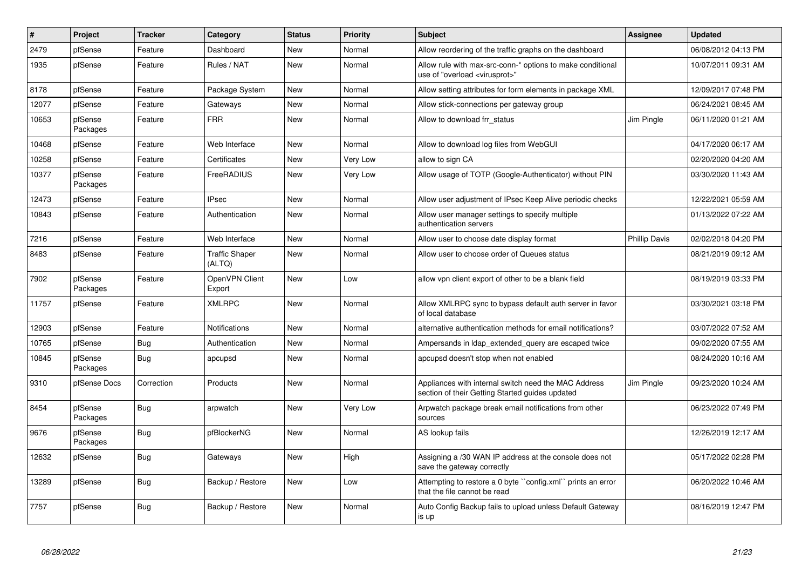| #     | Project             | <b>Tracker</b> | Category                        | <b>Status</b> | Priority | <b>Subject</b>                                                                                          | Assignee             | <b>Updated</b>      |
|-------|---------------------|----------------|---------------------------------|---------------|----------|---------------------------------------------------------------------------------------------------------|----------------------|---------------------|
| 2479  | pfSense             | Feature        | Dashboard                       | New           | Normal   | Allow reordering of the traffic graphs on the dashboard                                                 |                      | 06/08/2012 04:13 PM |
| 1935  | pfSense             | Feature        | Rules / NAT                     | New           | Normal   | Allow rule with max-src-conn-* options to make conditional<br>use of "overload <virusprot>"</virusprot> |                      | 10/07/2011 09:31 AM |
| 8178  | pfSense             | Feature        | Package System                  | <b>New</b>    | Normal   | Allow setting attributes for form elements in package XML                                               |                      | 12/09/2017 07:48 PM |
| 12077 | pfSense             | Feature        | Gateways                        | New           | Normal   | Allow stick-connections per gateway group                                                               |                      | 06/24/2021 08:45 AM |
| 10653 | pfSense<br>Packages | Feature        | <b>FRR</b>                      | New           | Normal   | Allow to download frr status                                                                            | Jim Pingle           | 06/11/2020 01:21 AM |
| 10468 | pfSense             | Feature        | Web Interface                   | New           | Normal   | Allow to download log files from WebGUI                                                                 |                      | 04/17/2020 06:17 AM |
| 10258 | pfSense             | Feature        | Certificates                    | New           | Very Low | allow to sign CA                                                                                        |                      | 02/20/2020 04:20 AM |
| 10377 | pfSense<br>Packages | Feature        | FreeRADIUS                      | New           | Very Low | Allow usage of TOTP (Google-Authenticator) without PIN                                                  |                      | 03/30/2020 11:43 AM |
| 12473 | pfSense             | Feature        | <b>IPsec</b>                    | New           | Normal   | Allow user adjustment of IPsec Keep Alive periodic checks                                               |                      | 12/22/2021 05:59 AM |
| 10843 | pfSense             | Feature        | Authentication                  | <b>New</b>    | Normal   | Allow user manager settings to specify multiple<br>authentication servers                               |                      | 01/13/2022 07:22 AM |
| 7216  | pfSense             | Feature        | Web Interface                   | <b>New</b>    | Normal   | Allow user to choose date display format                                                                | <b>Phillip Davis</b> | 02/02/2018 04:20 PM |
| 8483  | pfSense             | Feature        | <b>Traffic Shaper</b><br>(ALTQ) | New           | Normal   | Allow user to choose order of Queues status                                                             |                      | 08/21/2019 09:12 AM |
| 7902  | pfSense<br>Packages | Feature        | OpenVPN Client<br>Export        | <b>New</b>    | Low      | allow vpn client export of other to be a blank field                                                    |                      | 08/19/2019 03:33 PM |
| 11757 | pfSense             | Feature        | <b>XMLRPC</b>                   | New           | Normal   | Allow XMLRPC sync to bypass default auth server in favor<br>of local database                           |                      | 03/30/2021 03:18 PM |
| 12903 | pfSense             | Feature        | <b>Notifications</b>            | New           | Normal   | alternative authentication methods for email notifications?                                             |                      | 03/07/2022 07:52 AM |
| 10765 | pfSense             | <b>Bug</b>     | Authentication                  | <b>New</b>    | Normal   | Ampersands in Idap_extended_query are escaped twice                                                     |                      | 09/02/2020 07:55 AM |
| 10845 | pfSense<br>Packages | <b>Bug</b>     | apcupsd                         | New           | Normal   | apcupsd doesn't stop when not enabled                                                                   |                      | 08/24/2020 10:16 AM |
| 9310  | pfSense Docs        | Correction     | Products                        | New           | Normal   | Appliances with internal switch need the MAC Address<br>section of their Getting Started guides updated | Jim Pingle           | 09/23/2020 10:24 AM |
| 8454  | pfSense<br>Packages | Bug            | arpwatch                        | New           | Very Low | Arpwatch package break email notifications from other<br>sources                                        |                      | 06/23/2022 07:49 PM |
| 9676  | pfSense<br>Packages | <b>Bug</b>     | pfBlockerNG                     | New           | Normal   | AS lookup fails                                                                                         |                      | 12/26/2019 12:17 AM |
| 12632 | pfSense             | Bug            | Gateways                        | New           | High     | Assigning a /30 WAN IP address at the console does not<br>save the gateway correctly                    |                      | 05/17/2022 02:28 PM |
| 13289 | pfSense             | <b>Bug</b>     | Backup / Restore                | New           | Low      | Attempting to restore a 0 byte "config.xml" prints an error<br>that the file cannot be read             |                      | 06/20/2022 10:46 AM |
| 7757  | pfSense             | <b>Bug</b>     | Backup / Restore                | New           | Normal   | Auto Config Backup fails to upload unless Default Gateway<br>is up                                      |                      | 08/16/2019 12:47 PM |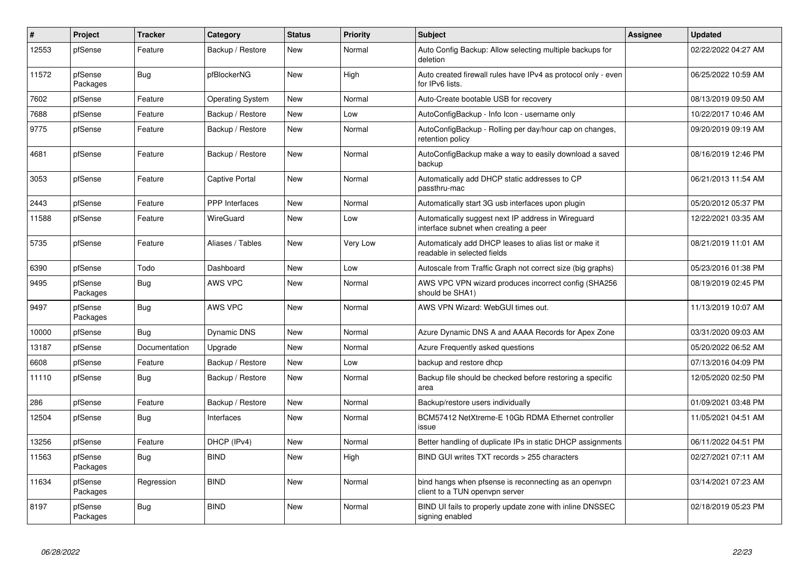| $\vert$ # | Project             | <b>Tracker</b> | Category                | <b>Status</b> | Priority | <b>Subject</b>                                                                              | Assignee | <b>Updated</b>      |
|-----------|---------------------|----------------|-------------------------|---------------|----------|---------------------------------------------------------------------------------------------|----------|---------------------|
| 12553     | pfSense             | Feature        | Backup / Restore        | New           | Normal   | Auto Config Backup: Allow selecting multiple backups for<br>deletion                        |          | 02/22/2022 04:27 AM |
| 11572     | pfSense<br>Packages | <b>Bug</b>     | pfBlockerNG             | New           | High     | Auto created firewall rules have IPv4 as protocol only - even<br>for IPv6 lists.            |          | 06/25/2022 10:59 AM |
| 7602      | pfSense             | Feature        | <b>Operating System</b> | New           | Normal   | Auto-Create bootable USB for recovery                                                       |          | 08/13/2019 09:50 AM |
| 7688      | pfSense             | Feature        | Backup / Restore        | New           | Low      | AutoConfigBackup - Info Icon - username only                                                |          | 10/22/2017 10:46 AM |
| 9775      | pfSense             | Feature        | Backup / Restore        | New           | Normal   | AutoConfigBackup - Rolling per day/hour cap on changes,<br>retention policy                 |          | 09/20/2019 09:19 AM |
| 4681      | pfSense             | Feature        | Backup / Restore        | New           | Normal   | AutoConfigBackup make a way to easily download a saved<br>backup                            |          | 08/16/2019 12:46 PM |
| 3053      | pfSense             | Feature        | <b>Captive Portal</b>   | New           | Normal   | Automatically add DHCP static addresses to CP<br>passthru-mac                               |          | 06/21/2013 11:54 AM |
| 2443      | pfSense             | Feature        | <b>PPP</b> Interfaces   | New           | Normal   | Automatically start 3G usb interfaces upon plugin                                           |          | 05/20/2012 05:37 PM |
| 11588     | pfSense             | Feature        | WireGuard               | New           | Low      | Automatically suggest next IP address in Wireguard<br>interface subnet when creating a peer |          | 12/22/2021 03:35 AM |
| 5735      | pfSense             | Feature        | Aliases / Tables        | <b>New</b>    | Very Low | Automaticaly add DHCP leases to alias list or make it<br>readable in selected fields        |          | 08/21/2019 11:01 AM |
| 6390      | pfSense             | Todo           | Dashboard               | <b>New</b>    | Low      | Autoscale from Traffic Graph not correct size (big graphs)                                  |          | 05/23/2016 01:38 PM |
| 9495      | pfSense<br>Packages | <b>Bug</b>     | <b>AWS VPC</b>          | New           | Normal   | AWS VPC VPN wizard produces incorrect config (SHA256)<br>should be SHA1)                    |          | 08/19/2019 02:45 PM |
| 9497      | pfSense<br>Packages | <b>Bug</b>     | <b>AWS VPC</b>          | New           | Normal   | AWS VPN Wizard: WebGUI times out.                                                           |          | 11/13/2019 10:07 AM |
| 10000     | pfSense             | <b>Bug</b>     | <b>Dynamic DNS</b>      | New           | Normal   | Azure Dynamic DNS A and AAAA Records for Apex Zone                                          |          | 03/31/2020 09:03 AM |
| 13187     | pfSense             | Documentation  | Upgrade                 | <b>New</b>    | Normal   | Azure Frequently asked questions                                                            |          | 05/20/2022 06:52 AM |
| 6608      | pfSense             | Feature        | Backup / Restore        | New           | Low      | backup and restore dhcp                                                                     |          | 07/13/2016 04:09 PM |
| 11110     | pfSense             | <b>Bug</b>     | Backup / Restore        | <b>New</b>    | Normal   | Backup file should be checked before restoring a specific<br>area                           |          | 12/05/2020 02:50 PM |
| 286       | pfSense             | Feature        | Backup / Restore        | <b>New</b>    | Normal   | Backup/restore users individually                                                           |          | 01/09/2021 03:48 PM |
| 12504     | pfSense             | <b>Bug</b>     | Interfaces              | New           | Normal   | BCM57412 NetXtreme-E 10Gb RDMA Ethernet controller<br>issue                                 |          | 11/05/2021 04:51 AM |
| 13256     | pfSense             | Feature        | DHCP (IPv4)             | New           | Normal   | Better handling of duplicate IPs in static DHCP assignments                                 |          | 06/11/2022 04:51 PM |
| 11563     | pfSense<br>Packages | Bug            | <b>BIND</b>             | <b>New</b>    | High     | BIND GUI writes TXT records > 255 characters                                                |          | 02/27/2021 07:11 AM |
| 11634     | pfSense<br>Packages | Regression     | <b>BIND</b>             | <b>New</b>    | Normal   | bind hangs when pfsense is reconnecting as an openvpn<br>client to a TUN openvpn server     |          | 03/14/2021 07:23 AM |
| 8197      | pfSense<br>Packages | Bug            | <b>BIND</b>             | New           | Normal   | BIND UI fails to properly update zone with inline DNSSEC<br>signing enabled                 |          | 02/18/2019 05:23 PM |